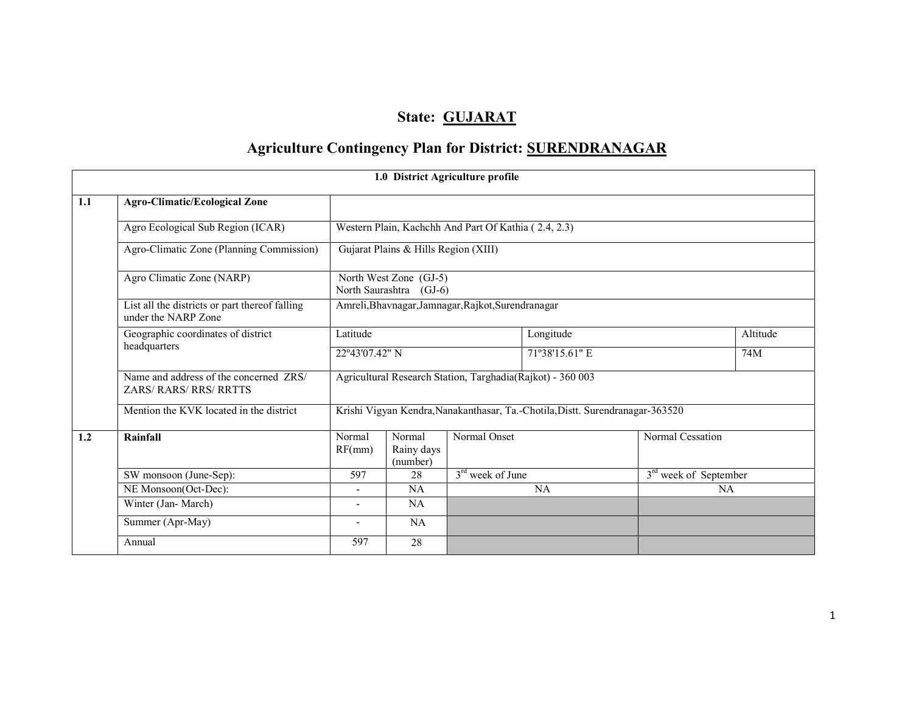# State: GUJARAT

# Agriculture Contingency Plan for District: SURENDRANAGAR

|                          |                                                                       |                                                    |                                                   | 1.0 District Agriculture profile                     |                                                                               |                                   |          |  |
|--------------------------|-----------------------------------------------------------------------|----------------------------------------------------|---------------------------------------------------|------------------------------------------------------|-------------------------------------------------------------------------------|-----------------------------------|----------|--|
| 1.1                      | <b>Agro-Climatic/Ecological Zone</b>                                  |                                                    |                                                   |                                                      |                                                                               |                                   |          |  |
|                          | Agro Ecological Sub Region (ICAR)                                     |                                                    |                                                   | Western Plain, Kachchh And Part Of Kathia (2.4, 2.3) |                                                                               |                                   |          |  |
|                          | Agro-Climatic Zone (Planning Commission)                              |                                                    | Gujarat Plains & Hills Region (XIII)              |                                                      |                                                                               |                                   |          |  |
|                          | Agro Climatic Zone (NARP)                                             |                                                    | North West Zone (GJ-5)<br>North Saurashtra (GJ-6) |                                                      |                                                                               |                                   |          |  |
|                          | List all the districts or part thereof falling<br>under the NARP Zone | Amreli, Bhavnagar, Jamnagar, Rajkot, Surendranagar |                                                   |                                                      |                                                                               |                                   |          |  |
|                          | Geographic coordinates of district                                    | Latitude                                           |                                                   |                                                      | Longitude                                                                     |                                   | Altitude |  |
|                          | headquarters                                                          |                                                    | 22°43'07.42" N                                    |                                                      | 71°38'15.61" E                                                                |                                   | 74M      |  |
|                          | Name and address of the concerned ZRS/<br><b>ZARS/RARS/RRS/RRTTS</b>  |                                                    |                                                   |                                                      | Agricultural Research Station, Targhadia(Rajkot) - 360 003                    |                                   |          |  |
|                          | Mention the KVK located in the district                               |                                                    |                                                   |                                                      | Krishi Vigyan Kendra, Nanakanthasar, Ta.-Chotila, Distt. Surendranagar-363520 |                                   |          |  |
| 1.2                      | Rainfall                                                              | Normal<br>RF(mm)                                   | Normal<br>Rainy days<br>(number)                  | Normal Onset                                         |                                                                               | Normal Cessation                  |          |  |
|                          | SW monsoon (June-Sep):                                                | 597                                                | 28                                                | $3rd$ week of June                                   |                                                                               | 3 <sup>rd</sup> week of September |          |  |
|                          | NE Monsoon(Oct-Dec):                                                  |                                                    | <b>NA</b>                                         |                                                      | NA                                                                            | <b>NA</b>                         |          |  |
| Winter (Jan-March)<br>NA |                                                                       |                                                    |                                                   |                                                      |                                                                               |                                   |          |  |
|                          | Summer (Apr-May)                                                      | $\overline{\phantom{a}}$                           | NA                                                |                                                      |                                                                               |                                   |          |  |
|                          | Annual                                                                | 597                                                | 28                                                |                                                      |                                                                               |                                   |          |  |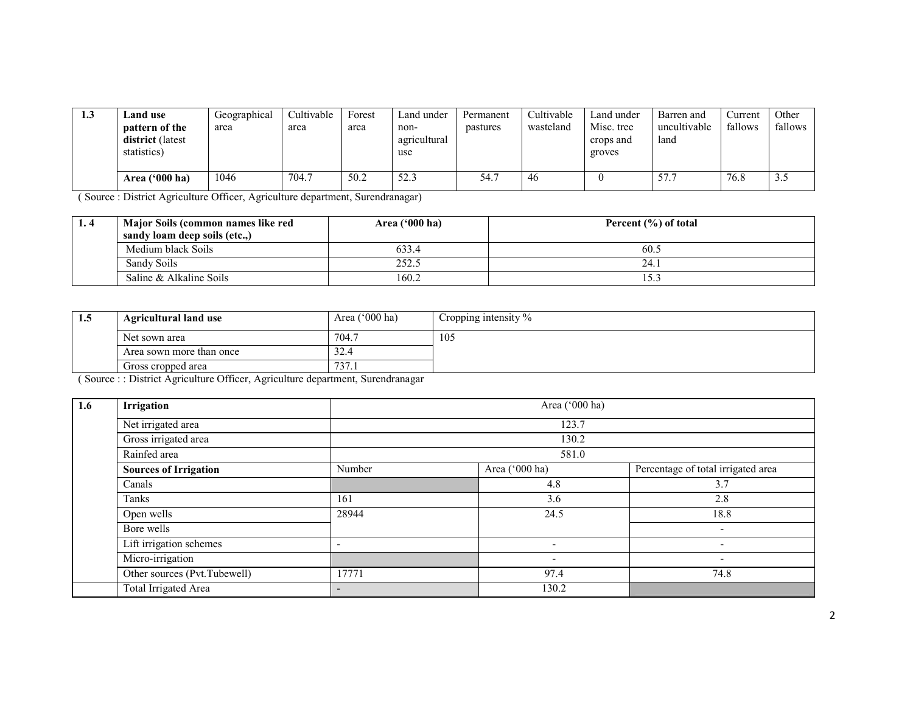| 1.3 | and use.<br><b>pattern of the</b><br><b>district</b> (latest<br>statistics) | Geographical<br>area | Cultivable<br>area | Forest<br>area | Land under<br>non-<br>agricultural<br>use | Permanent<br>pastures | Cultivable<br>wasteland | Land under<br>Misc. tree<br>crops and<br>groves | Barren and<br>uncultivable<br>land | Current<br>fallows | Other<br>fallows |
|-----|-----------------------------------------------------------------------------|----------------------|--------------------|----------------|-------------------------------------------|-----------------------|-------------------------|-------------------------------------------------|------------------------------------|--------------------|------------------|
|     | Area ('000 ha)                                                              | 1046                 | 704.7              | 50.2           | 52.3                                      | -<br>54.1             | 46                      |                                                 | 57.7                               | 76.8               | 3.5              |

( Source : District Agriculture Officer, Agriculture department, Surendranagar)

| 1.4 | Major Soils (common names like red | Area $(900)$ ha) | Percent $(\% )$ of total |
|-----|------------------------------------|------------------|--------------------------|
|     | sandy loam deep soils (etc)        |                  |                          |
|     | Medium black Soils                 | 633.4            | 60.5                     |
|     | Sandy Soils                        | 252.5            | 24.                      |
|     | Saline & Alkaline Soils            | 160.2            | 15.3                     |

| 1.5 | Agricultural land use                                                          | Area $('000 ha)$ | Cropping intensity % |
|-----|--------------------------------------------------------------------------------|------------------|----------------------|
|     | Net sown area                                                                  | 704.7            | 105                  |
|     | Area sown more than once                                                       | 32.4             |                      |
|     | Gross cropped area                                                             | 737.1            |                      |
|     | (Source:: District Agriculture Officer, Agriculture department, Surendranagar) |                  |                      |

| 1.6 | Irrigation                   | Area ('000 ha)           |                          |                                    |  |  |  |  |  |
|-----|------------------------------|--------------------------|--------------------------|------------------------------------|--|--|--|--|--|
|     | Net irrigated area           |                          | 123.7                    |                                    |  |  |  |  |  |
|     | Gross irrigated area         |                          | 130.2                    |                                    |  |  |  |  |  |
|     | Rainfed area                 | 581.0                    |                          |                                    |  |  |  |  |  |
|     | <b>Sources of Irrigation</b> | Number                   | Area ('000 ha)           | Percentage of total irrigated area |  |  |  |  |  |
|     | Canals                       |                          | 4.8                      | 3.7                                |  |  |  |  |  |
|     | Tanks                        | 161                      | 3.6                      | 2.8                                |  |  |  |  |  |
|     | Open wells                   | 28944                    | 24.5                     | 18.8                               |  |  |  |  |  |
|     | Bore wells                   |                          |                          | $\overline{\phantom{0}}$           |  |  |  |  |  |
|     | Lift irrigation schemes      |                          | $\overline{\phantom{0}}$ | $\overline{\phantom{0}}$           |  |  |  |  |  |
|     | Micro-irrigation             |                          | $\overline{\phantom{0}}$ | $\overline{\phantom{a}}$           |  |  |  |  |  |
|     | Other sources (Pvt.Tubewell) | 17771                    | 97.4                     | 74.8                               |  |  |  |  |  |
|     | Total Irrigated Area         | $\overline{\phantom{0}}$ | 130.2                    |                                    |  |  |  |  |  |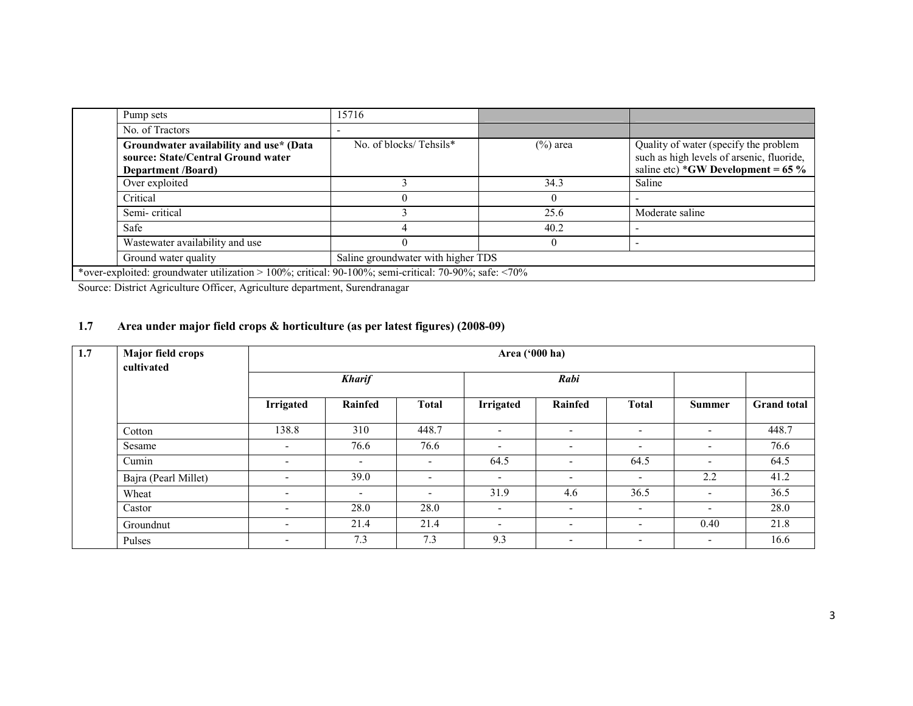| Pump sets                                                                                                           | 15716                              |             |                                                                                                                            |  |
|---------------------------------------------------------------------------------------------------------------------|------------------------------------|-------------|----------------------------------------------------------------------------------------------------------------------------|--|
| No. of Tractors                                                                                                     |                                    |             |                                                                                                                            |  |
| Groundwater availability and use* (Data<br>source: State/Central Ground water<br><b>Department</b> / <b>Board</b> ) | No. of blocks/Tehsils*             | $(\%)$ area | Quality of water (specify the problem<br>such as high levels of arsenic, fluoride,<br>saline etc) *GW Development = $65\%$ |  |
| Over exploited                                                                                                      |                                    | 34.3        | Saline                                                                                                                     |  |
| Critical                                                                                                            |                                    |             |                                                                                                                            |  |
| Semi-critical                                                                                                       |                                    | 25.6        | Moderate saline                                                                                                            |  |
| Safe                                                                                                                |                                    | 40.2        |                                                                                                                            |  |
| Wastewater availability and use                                                                                     |                                    |             |                                                                                                                            |  |
| Ground water quality                                                                                                | Saline groundwater with higher TDS |             |                                                                                                                            |  |
| *over-exploited: groundwater utilization > 100%; critical: 90-100%; semi-critical: 70-90%; safe: <70%               |                                    |             |                                                                                                                            |  |

Source: District Agriculture Officer, Agriculture department, Surendranagar

#### 1.7 Area under major field crops & horticulture (as per latest figures) (2008-09)

| 1.7 | Major field crops<br>cultivated |                          | Area ('000 ha)           |                          |                          |                          |                          |                          |                    |  |  |
|-----|---------------------------------|--------------------------|--------------------------|--------------------------|--------------------------|--------------------------|--------------------------|--------------------------|--------------------|--|--|
|     |                                 | <b>Kharif</b>            |                          |                          |                          | Rabi                     |                          |                          |                    |  |  |
|     |                                 | <b>Irrigated</b>         | Rainfed                  | Total                    | Irrigated                | Rainfed                  | <b>Total</b>             | Summer                   | <b>Grand</b> total |  |  |
|     | Cotton                          | 138.8                    | 310                      | 448.7                    | $\overline{\phantom{a}}$ | $\overline{\phantom{a}}$ | $\overline{\phantom{0}}$ | $\overline{\phantom{a}}$ | 448.7              |  |  |
|     | Sesame                          | $\overline{\phantom{0}}$ | 76.6                     | 76.6                     | $\overline{\phantom{0}}$ | $\overline{\phantom{a}}$ | $\overline{\phantom{0}}$ | $\overline{\phantom{a}}$ | 76.6               |  |  |
|     | Cumin                           | $\overline{\phantom{0}}$ | $\overline{\phantom{0}}$ | $\overline{\phantom{a}}$ | 64.5                     | $\overline{\phantom{a}}$ | 64.5                     | $\overline{\phantom{a}}$ | 64.5               |  |  |
|     | Bajra (Pearl Millet)            | $\overline{\phantom{a}}$ | 39.0                     | $\overline{\phantom{a}}$ | $\overline{\phantom{0}}$ | $\overline{\phantom{a}}$ | $\overline{\phantom{0}}$ | 2.2                      | 41.2               |  |  |
|     | Wheat                           | $\overline{\phantom{a}}$ | $\overline{\phantom{a}}$ | $\overline{\phantom{a}}$ | 31.9                     | 4.6                      | 36.5                     | $\overline{\phantom{a}}$ | 36.5               |  |  |
|     | Castor                          | $\overline{\phantom{a}}$ | 28.0                     | 28.0                     | $\overline{\phantom{a}}$ | $\overline{\phantom{a}}$ | $\overline{\phantom{0}}$ | $\overline{\phantom{0}}$ | 28.0               |  |  |
|     | Groundnut                       | $\overline{\phantom{0}}$ | 21.4                     | 21.4                     | $\overline{\phantom{0}}$ | $\overline{\phantom{a}}$ | $\overline{\phantom{a}}$ | 0.40                     | 21.8               |  |  |
|     | Pulses                          | $\overline{\phantom{a}}$ | 7.3                      | 7.3                      | 9.3                      | $\overline{\phantom{a}}$ | $\overline{\phantom{a}}$ | $\overline{\phantom{a}}$ | 16.6               |  |  |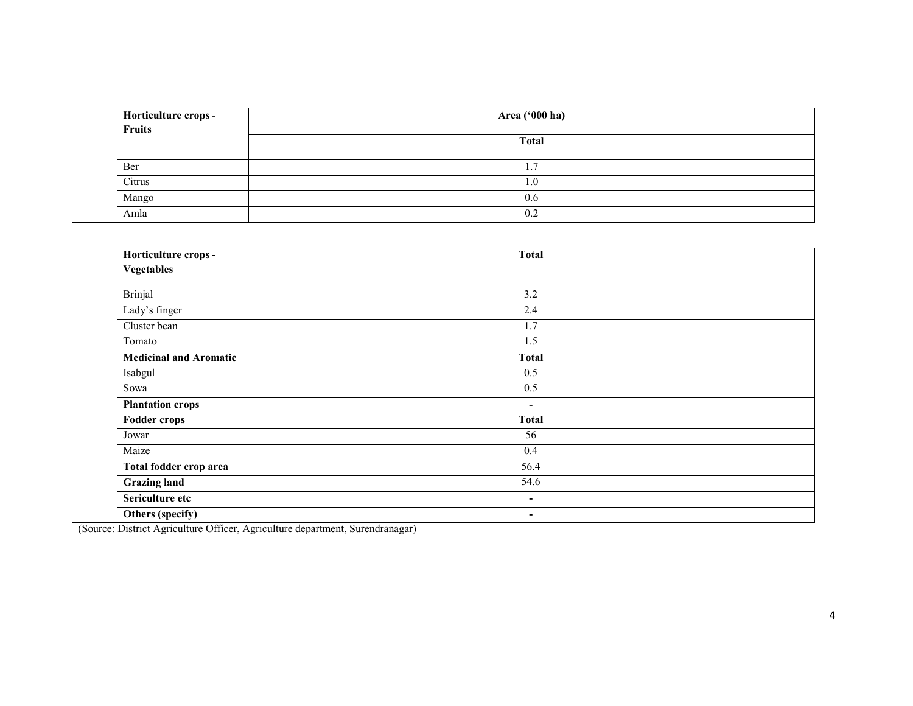| Horticulture crops -<br>Fruits | Area ('000 ha) |
|--------------------------------|----------------|
|                                | <b>Total</b>   |
| Ber                            |                |
| Citrus                         | 1.U            |
| Mango                          | 0.6            |
| Amla                           | 0.2            |

| Horticulture crops -          | <b>Total</b>             |  |
|-------------------------------|--------------------------|--|
| <b>Vegetables</b>             |                          |  |
| <b>Brinjal</b>                | 3.2                      |  |
| Lady's finger                 | 2.4                      |  |
| Cluster bean                  | $\overline{1.7}$         |  |
| Tomato                        | 1.5                      |  |
| <b>Medicinal and Aromatic</b> | <b>Total</b>             |  |
| Isabgul                       | 0.5                      |  |
| Sowa                          | 0.5                      |  |
| <b>Plantation crops</b>       | $\blacksquare$           |  |
| <b>Fodder crops</b>           | <b>Total</b>             |  |
| Jowar                         | 56                       |  |
| Maize                         | 0.4                      |  |
| Total fodder crop area        | 56.4                     |  |
| <b>Grazing land</b>           | 54.6                     |  |
| Sericulture etc               | $\overline{\phantom{a}}$ |  |
| Others (specify)              | ۰.                       |  |

(Source: District Agriculture Officer, Agriculture department, Surendranagar)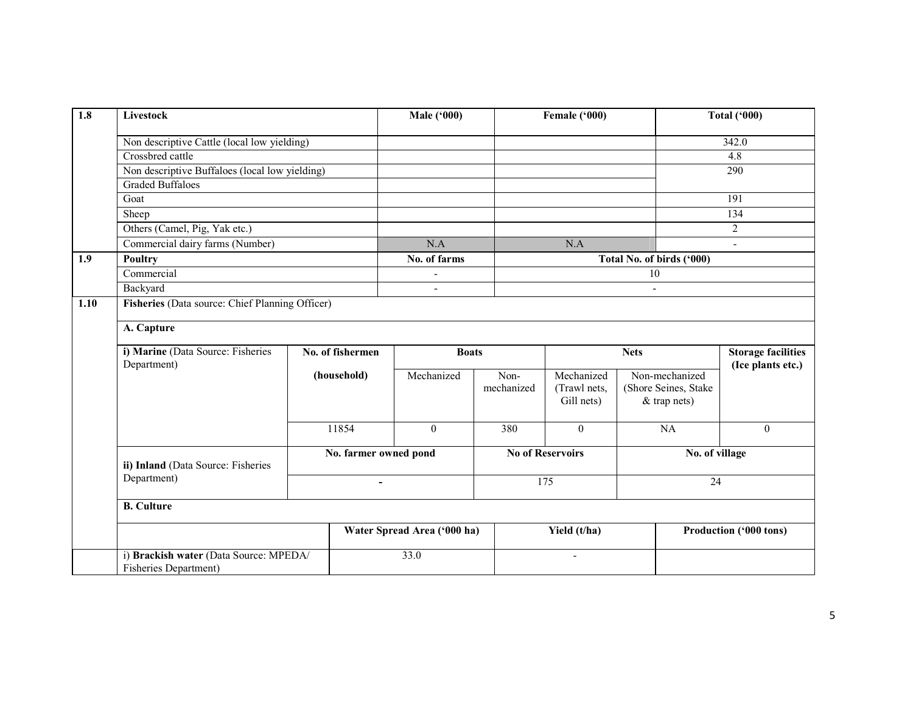| $\overline{1.8}$ | Livestock                                                       |                       | <b>Male ('000)</b>          |                         | Female ('000)                            |                 |                                                        | <b>Total ('000)</b>                            |  |
|------------------|-----------------------------------------------------------------|-----------------------|-----------------------------|-------------------------|------------------------------------------|-----------------|--------------------------------------------------------|------------------------------------------------|--|
|                  | Non descriptive Cattle (local low yielding)                     |                       |                             |                         |                                          |                 |                                                        | 342.0                                          |  |
|                  | Crossbred cattle                                                |                       |                             |                         |                                          |                 |                                                        | 4.8                                            |  |
|                  | Non descriptive Buffaloes (local low yielding)                  |                       |                             |                         |                                          |                 |                                                        | 290                                            |  |
|                  | <b>Graded Buffaloes</b>                                         |                       |                             |                         |                                          |                 |                                                        |                                                |  |
|                  | Goat                                                            |                       |                             |                         |                                          |                 |                                                        | 191                                            |  |
|                  | Sheep                                                           |                       |                             |                         |                                          |                 |                                                        | 134                                            |  |
|                  | Others (Camel, Pig, Yak etc.)                                   |                       |                             |                         |                                          |                 |                                                        | $\overline{c}$                                 |  |
|                  | Commercial dairy farms (Number)                                 |                       | N.A                         |                         | N.A                                      |                 |                                                        |                                                |  |
| 1.9              | Poultry                                                         |                       | No. of farms                |                         |                                          |                 | Total No. of birds ('000)                              |                                                |  |
|                  | Commercial                                                      |                       |                             |                         |                                          | $\overline{10}$ |                                                        |                                                |  |
|                  | Backyard                                                        |                       | $\overline{a}$              |                         |                                          | $\overline{a}$  |                                                        |                                                |  |
| 1.10             | Fisheries (Data source: Chief Planning Officer)                 |                       |                             |                         |                                          |                 |                                                        |                                                |  |
|                  | A. Capture                                                      |                       |                             |                         |                                          |                 |                                                        |                                                |  |
|                  | i) Marine (Data Source: Fisheries<br>Department)                | No. of fishermen      | <b>Boats</b>                |                         |                                          | <b>Nets</b>     |                                                        | <b>Storage facilities</b><br>(Ice plants etc.) |  |
|                  |                                                                 | (household)           | Mechanized                  | Non-<br>mechanized      | Mechanized<br>(Trawl nets,<br>Gill nets) |                 | Non-mechanized<br>(Shore Seines, Stake<br>& trap nets) |                                                |  |
|                  |                                                                 | 11854                 | $\mathbf{0}$                | 380                     | $\overline{0}$                           |                 | NA                                                     | $\overline{0}$                                 |  |
|                  | ii) Inland (Data Source: Fisheries                              | No. farmer owned pond |                             | <b>No of Reservoirs</b> |                                          |                 | No. of village                                         |                                                |  |
|                  | Department)                                                     | L,                    |                             |                         | 175                                      |                 | 24                                                     |                                                |  |
|                  | <b>B.</b> Culture                                               |                       |                             |                         |                                          |                 |                                                        |                                                |  |
|                  |                                                                 |                       | Water Spread Area ('000 ha) |                         | Yield (t/ha)                             |                 |                                                        | Production ('000 tons)                         |  |
|                  | i) Brackish water (Data Source: MPEDA/<br>Fisheries Department) |                       | 33.0                        |                         | $\blacksquare$                           |                 |                                                        |                                                |  |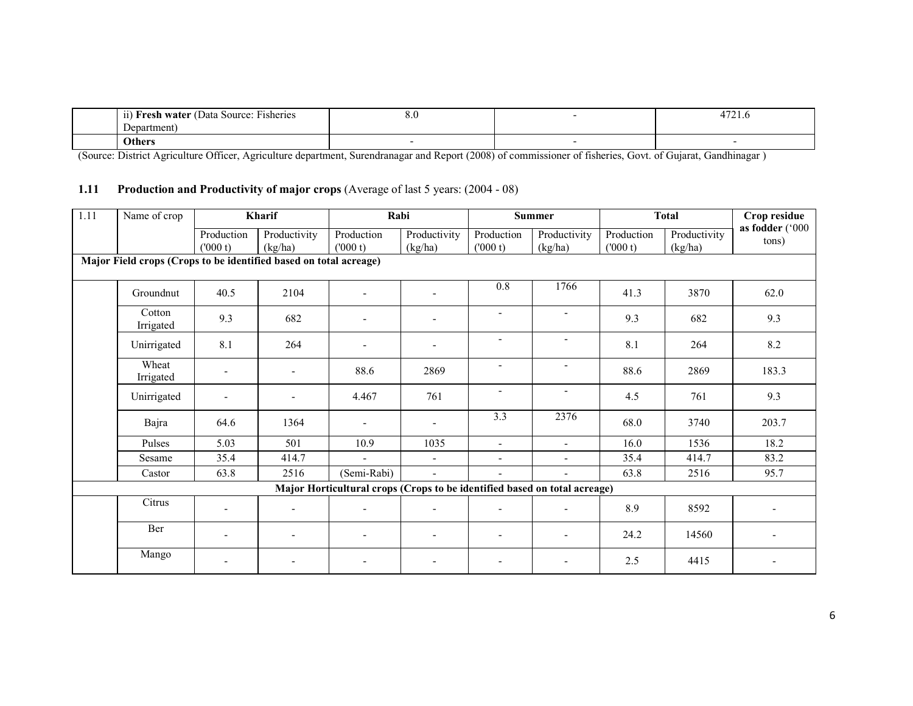| $\cdots$<br>$-$<br>Data Source:<br><b>Fisheries</b><br>ı <b>water</b> ı<br>11<br>roc h | $\mathbf{o} \cdot \mathbf{v}$ | $\overline{\phantom{a}}$<br>4/21.5 |
|----------------------------------------------------------------------------------------|-------------------------------|------------------------------------|
| Department                                                                             |                               |                                    |
| Others                                                                                 |                               |                                    |

(Source: District Agriculture Officer, Agriculture department, Surendranagar and Report (2008) of commissioner of fisheries, Govt. of Gujarat, Gandhinagar )

#### 1.11 Production and Productivity of major crops (Average of last 5 years: (2004 - 08)

| $\overline{1.11}$ | Name of crop                                                      |                          | Kharif                   |                                                                           | Rabi                     |                          | <b>Summer</b>            | <b>Total</b>          |                         | Crop residue             |
|-------------------|-------------------------------------------------------------------|--------------------------|--------------------------|---------------------------------------------------------------------------|--------------------------|--------------------------|--------------------------|-----------------------|-------------------------|--------------------------|
|                   |                                                                   | Production<br>(000 t)    | Productivity<br>(kg/ha)  | Production<br>(000 t)                                                     | Productivity<br>(kg/ha)  | Production<br>(000 t)    | Productivity<br>(kg/ha)  | Production<br>(000 t) | Productivity<br>(kg/ha) | as fodder ('000<br>tons) |
|                   | Major Field crops (Crops to be identified based on total acreage) |                          |                          |                                                                           |                          |                          |                          |                       |                         |                          |
|                   | Groundnut                                                         | 40.5                     | 2104                     | $\blacksquare$                                                            | $\blacksquare$           | 0.8                      | 1766                     | 41.3                  | 3870                    | 62.0                     |
|                   | Cotton<br>Irrigated                                               | 9.3                      | 682                      |                                                                           | $\overline{\phantom{a}}$ | $\blacksquare$           | $\overline{\phantom{a}}$ | 9.3                   | 682                     | 9.3                      |
|                   | Unirrigated                                                       | 8.1                      | 264                      | $\blacksquare$                                                            | $\overline{\phantom{a}}$ | $\overline{\phantom{a}}$ | $\overline{\phantom{a}}$ | 8.1                   | 264                     | 8.2                      |
|                   | Wheat<br>Irrigated                                                |                          | $\overline{\phantom{a}}$ | 88.6                                                                      | 2869                     | $\overline{\phantom{a}}$ | $\overline{\phantom{a}}$ | 88.6                  | 2869                    | 183.3                    |
|                   | Unirrigated                                                       |                          |                          | 4.467                                                                     | 761                      | $\blacksquare$           | $\overline{\phantom{a}}$ | 4.5                   | 761                     | 9.3                      |
|                   | Bajra                                                             | 64.6                     | 1364                     | $\blacksquare$                                                            | $\blacksquare$           | 3.3                      | 2376                     | 68.0                  | 3740                    | 203.7                    |
|                   | Pulses                                                            | 5.03                     | 501                      | 10.9                                                                      | 1035                     | $\blacksquare$           | $\blacksquare$           | 16.0                  | 1536                    | 18.2                     |
|                   | Sesame                                                            | 35.4                     | 414.7                    | $\blacksquare$                                                            | $\blacksquare$           | $\blacksquare$           | $\blacksquare$           | 35.4                  | 414.7                   | 83.2                     |
|                   | Castor                                                            | 63.8                     | 2516                     | (Semi-Rabi)                                                               | $\Delta$                 |                          | $\blacksquare$           | 63.8                  | 2516                    | 95.7                     |
|                   |                                                                   |                          |                          | Major Horticultural crops (Crops to be identified based on total acreage) |                          |                          |                          |                       |                         |                          |
|                   | Citrus                                                            |                          | $\blacksquare$           | $\overline{\phantom{a}}$                                                  | $\blacksquare$           |                          | $\blacksquare$           | 8.9                   | 8592                    |                          |
|                   | Ber                                                               | $\blacksquare$           | $\overline{\phantom{a}}$ | $\overline{\phantom{a}}$                                                  | $\blacksquare$           |                          |                          | 24.2                  | 14560                   |                          |
|                   | Mango                                                             | $\overline{\phantom{a}}$ | $\overline{\phantom{a}}$ | $\overline{\phantom{a}}$                                                  | $\overline{\phantom{a}}$ | $\overline{\phantom{a}}$ | $\overline{\phantom{a}}$ | 2.5                   | 4415                    |                          |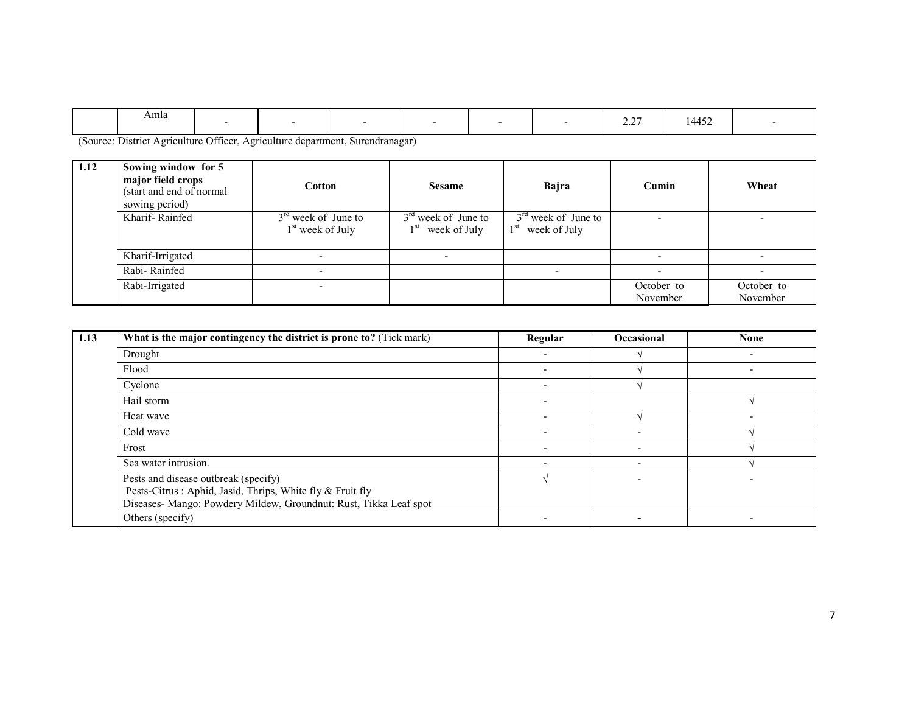|  | Amla |  |  |  |  |  |  | $\sim$ $\sim$ $\sim$<br>$\sim$ . $\sim$ 1 | $\cdot$ $\cdot$ $\sim$<br>$\sqrt{1/1}$<br>$\cdot \cdot \cdot$ |  |
|--|------|--|--|--|--|--|--|-------------------------------------------|---------------------------------------------------------------|--|
|--|------|--|--|--|--|--|--|-------------------------------------------|---------------------------------------------------------------|--|

(Source: District Agriculture Officer, Agriculture department, Surendranagar)

| 1.12 | Sowing window for 5<br>major field crops<br>(start and end of normal)<br>sowing period) | Cotton                                      | <b>Sesame</b>                               | Bajra                                                    | Cumin                  | Wheat                    |
|------|-----------------------------------------------------------------------------------------|---------------------------------------------|---------------------------------------------|----------------------------------------------------------|------------------------|--------------------------|
|      | Kharif-Rainfed                                                                          | $3rd$ week of June to<br>$1st$ week of July | $3rd$ week of June to<br>$1st$ week of July | $3rd$ week of June to<br>1 <sup>st</sup><br>week of July |                        |                          |
|      | Kharif-Irrigated                                                                        |                                             |                                             |                                                          |                        |                          |
|      | Rabi-Rainfed                                                                            |                                             |                                             |                                                          |                        | $\overline{\phantom{0}}$ |
|      | Rabi-Irrigated                                                                          |                                             |                                             |                                                          | October to<br>November | October to<br>November   |

| 1.13 | What is the major contingency the district is prone to? (Tick mark)                                                                                                     | Regular                  | <b>Occasional</b>        | <b>None</b> |
|------|-------------------------------------------------------------------------------------------------------------------------------------------------------------------------|--------------------------|--------------------------|-------------|
|      | Drought                                                                                                                                                                 |                          |                          |             |
|      | Flood                                                                                                                                                                   |                          |                          |             |
|      | Cyclone                                                                                                                                                                 |                          |                          |             |
|      | Hail storm                                                                                                                                                              |                          |                          |             |
|      | Heat wave                                                                                                                                                               | $\overline{\phantom{a}}$ |                          |             |
|      | Cold wave                                                                                                                                                               |                          | $\overline{\phantom{a}}$ |             |
|      | Frost                                                                                                                                                                   |                          | $\overline{\phantom{a}}$ |             |
|      | Sea water intrusion.                                                                                                                                                    |                          |                          |             |
|      | Pests and disease outbreak (specify)<br>Pests-Citrus : Aphid, Jasid, Thrips, White fly & Fruit fly<br>Diseases- Mango: Powdery Mildew, Groundnut: Rust, Tikka Leaf spot |                          |                          |             |
|      | Others (specify)                                                                                                                                                        |                          |                          |             |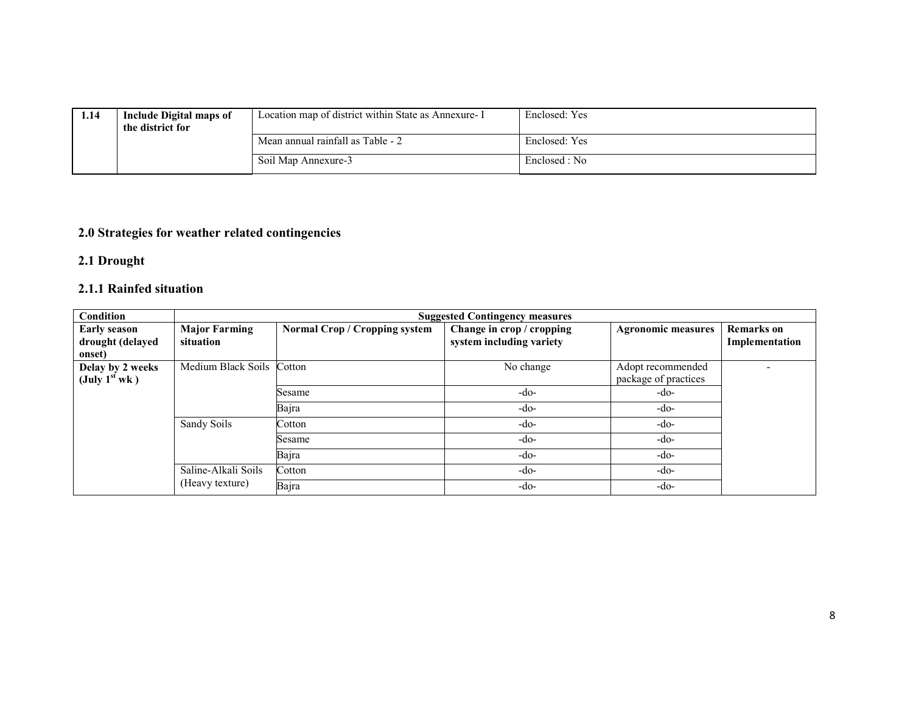| 1.14 | <b>Include Digital maps of</b><br>the district for | Location map of district within State as Annexure- I | Enclosed: Yes |
|------|----------------------------------------------------|------------------------------------------------------|---------------|
|      |                                                    | Mean annual rainfall as Table - 2                    | Enclosed: Yes |
|      |                                                    | Soil Map Annexure-3                                  | Enclosed : No |

#### 2.0 Strategies for weather related contingencies

#### 2.1 Drought

### 2.1.1 Rainfed situation

| Condition                                                     |                                   |                               | <b>Suggested Contingency measures</b>                 |                                           |                                     |
|---------------------------------------------------------------|-----------------------------------|-------------------------------|-------------------------------------------------------|-------------------------------------------|-------------------------------------|
| <b>Early season</b><br>drought (delayed<br>onset)             | <b>Major Farming</b><br>situation | Normal Crop / Cropping system | Change in crop / cropping<br>system including variety | <b>Agronomic measures</b>                 | <b>Remarks</b> on<br>Implementation |
| Delay by 2 weeks<br>$(\text{July } 1^{\text{st}} \text{ wk})$ | Medium Black Soils Cotton         |                               | No change                                             | Adopt recommended<br>package of practices |                                     |
|                                                               |                                   | Sesame                        | -do-                                                  | -do-                                      |                                     |
|                                                               |                                   | Bajra                         | $-do-$                                                | -do-                                      |                                     |
|                                                               | Sandy Soils                       | Cotton                        | -do-                                                  | -do-                                      |                                     |
|                                                               |                                   | Sesame                        | -do-                                                  | -do-                                      |                                     |
|                                                               |                                   | Bajra                         | $-do-$                                                | -do-                                      |                                     |
|                                                               | Saline-Alkali Soils               | Cotton                        | $-do-$                                                | -do-                                      |                                     |
|                                                               | (Heavy texture)                   | Bajra                         | $-do-$                                                | -do-                                      |                                     |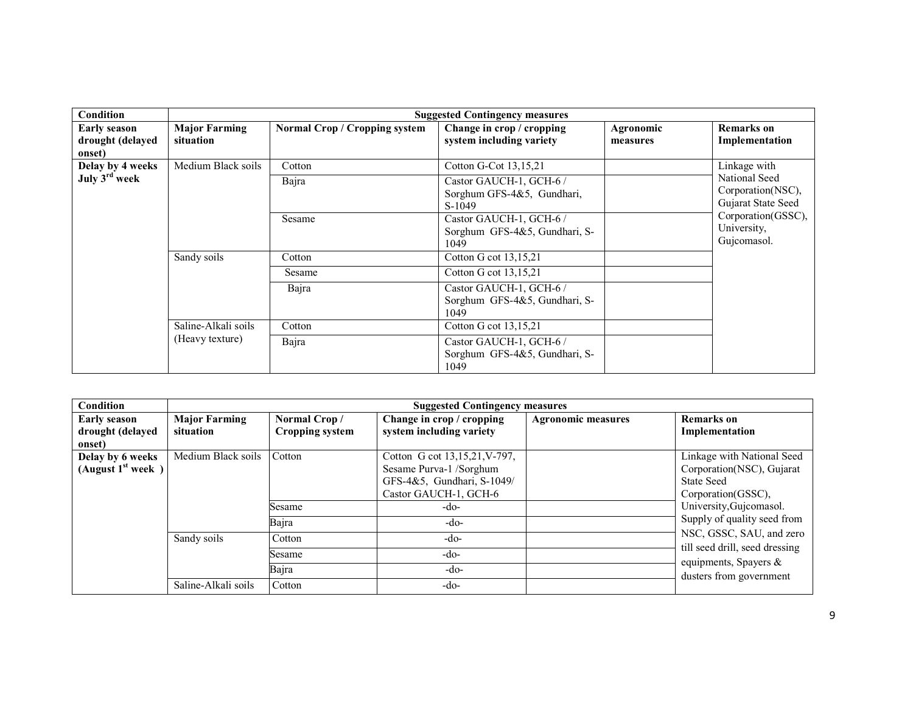| <b>Condition</b>                                  |                                   |                               | <b>Suggested Contingency measures</b>                                                     |                       |                                                                          |
|---------------------------------------------------|-----------------------------------|-------------------------------|-------------------------------------------------------------------------------------------|-----------------------|--------------------------------------------------------------------------|
| <b>Early season</b><br>drought (delayed<br>onset) | <b>Major Farming</b><br>situation | Normal Crop / Cropping system | Change in crop / cropping<br>system including variety                                     | Agronomic<br>measures | <b>Remarks</b> on<br>Implementation                                      |
| Delay by 4 weeks<br>July 3rd week                 | Medium Black soils                | Cotton<br>Bajra               | Cotton G-Cot 13,15,21<br>Castor GAUCH-1, GCH-6 /<br>Sorghum GFS-4&5, Gundhari,<br>S-1049  |                       | Linkage with<br>National Seed<br>Corporation(NSC),<br>Gujarat State Seed |
|                                                   |                                   | Sesame                        | Castor GAUCH-1, GCH-6 /<br>Sorghum GFS-4&5, Gundhari, S-<br>1049                          |                       | Corporation(GSSC),<br>University,<br>Gujcomasol.                         |
|                                                   | Sandy soils                       | Cotton                        | Cotton G cot 13,15,21                                                                     |                       |                                                                          |
|                                                   |                                   | Sesame<br>Bajra               | Cotton G cot 13,15,21<br>Castor GAUCH-1, GCH-6 /<br>Sorghum GFS-4&5, Gundhari, S-<br>1049 |                       |                                                                          |
|                                                   | Saline-Alkali soils               | Cotton                        | Cotton G cot 13,15,21                                                                     |                       |                                                                          |
|                                                   | (Heavy texture)                   | Bajra                         | Castor GAUCH-1, GCH-6 /<br>Sorghum GFS-4&5, Gundhari, S-<br>1049                          |                       |                                                                          |

| <b>Condition</b>                                  |                                   |                                        | <b>Suggested Contingency measures</b>                                                                           |                           |                                                                                                                |
|---------------------------------------------------|-----------------------------------|----------------------------------------|-----------------------------------------------------------------------------------------------------------------|---------------------------|----------------------------------------------------------------------------------------------------------------|
| <b>Early season</b><br>drought (delayed<br>onset) | <b>Major Farming</b><br>situation | Normal Crop/<br><b>Cropping system</b> | Change in crop / cropping<br>system including variety                                                           | <b>Agronomic measures</b> | <b>Remarks</b> on<br>Implementation                                                                            |
| Delay by 6 weeks<br>(August $1st$ week)           | Medium Black soils                | Cotton                                 | Cotton G cot 13,15,21, V-797,<br>Sesame Purva-1 /Sorghum<br>GFS-4&5, Gundhari, S-1049/<br>Castor GAUCH-1, GCH-6 |                           | Linkage with National Seed<br>Corporation(NSC), Gujarat<br><b>State Seed</b><br>Corporation(GSSC),             |
|                                                   |                                   | Sesame<br>Bajra                        | -do-<br>-do-                                                                                                    |                           | University, Gujcomasol.<br>Supply of quality seed from                                                         |
|                                                   | Sandy soils                       | Cotton<br>Sesame<br>Bajra              | $-do-$<br>$-do-$<br>$-do-$                                                                                      |                           | NSC, GSSC, SAU, and zero<br>till seed drill, seed dressing<br>equipments, Spayers &<br>dusters from government |
|                                                   | Saline-Alkali soils               | Cotton                                 | -do-                                                                                                            |                           |                                                                                                                |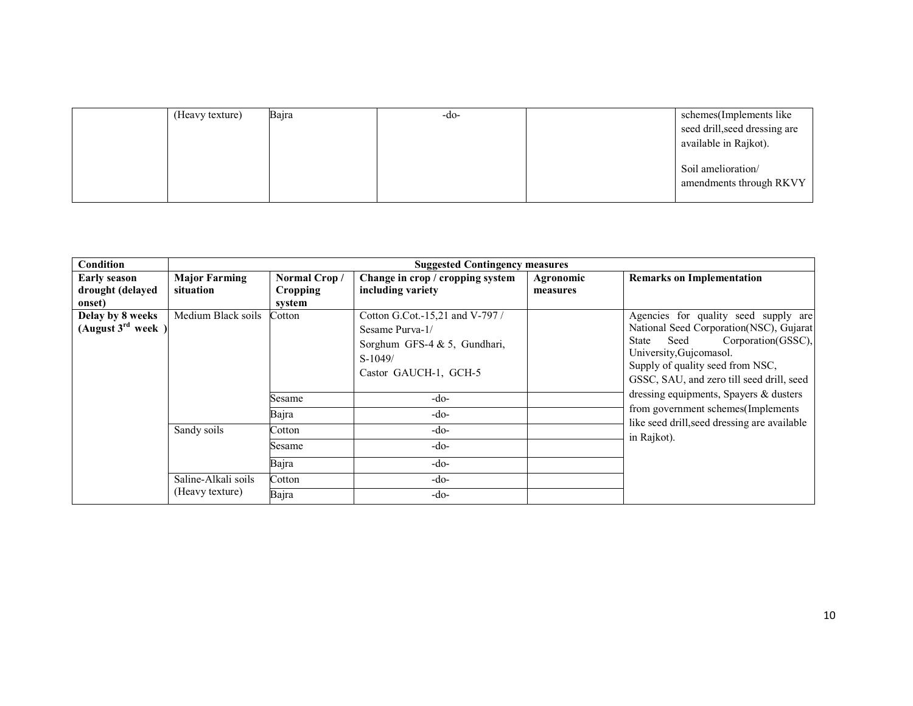| (Heavy texture) | Bajra | $-dO$ | schemes(Implements like<br>seed drill, seed dressing are<br>available in Rajkot). |
|-----------------|-------|-------|-----------------------------------------------------------------------------------|
|                 |       |       | Soil amelioration/<br>amendments through RKVY                                     |

| Condition              |                      |                 | <b>Suggested Contingency measures</b>                              |           |                                                                                                                                                 |
|------------------------|----------------------|-----------------|--------------------------------------------------------------------|-----------|-------------------------------------------------------------------------------------------------------------------------------------------------|
| <b>Early season</b>    | <b>Major Farming</b> | Normal Crop/    | Change in crop / cropping system                                   | Agronomic | <b>Remarks on Implementation</b>                                                                                                                |
| drought (delayed       | situation            | <b>Cropping</b> | including variety                                                  | measures  |                                                                                                                                                 |
| onset)                 |                      | system          |                                                                    |           |                                                                                                                                                 |
| Delay by 8 weeks       | Medium Black soils   | Cotton          | Cotton G.Cot.-15,21 and V-797 /                                    |           | Agencies for quality seed supply are                                                                                                            |
| (August $3^{rd}$ week) |                      |                 | Sesame Purva-1/                                                    |           | National Seed Corporation(NSC), Gujarat                                                                                                         |
|                        |                      |                 | Sorghum GFS-4 & 5, Gundhari,<br>$S-1049/$<br>Castor GAUCH-1, GCH-5 |           | Corporation(GSSC),<br>Seed<br>State<br>University, Gujcomasol.<br>Supply of quality seed from NSC,<br>GSSC, SAU, and zero till seed drill, seed |
|                        |                      | Sesame          | $-do-$                                                             |           | dressing equipments, Spayers & dusters                                                                                                          |
|                        |                      | Bajra           | $-do-$                                                             |           | from government schemes (Implements<br>like seed drill, seed dressing are available                                                             |
|                        | Sandy soils          | Cotton          | $-do-$                                                             |           | in Rajkot).                                                                                                                                     |
|                        |                      | Sesame          | $-do-$                                                             |           |                                                                                                                                                 |
|                        |                      | Bajra           | $-do-$                                                             |           |                                                                                                                                                 |
|                        | Saline-Alkali soils  | Cotton          | $-do-$                                                             |           |                                                                                                                                                 |
|                        | (Heavy texture)      | Bajra           | $-do-$                                                             |           |                                                                                                                                                 |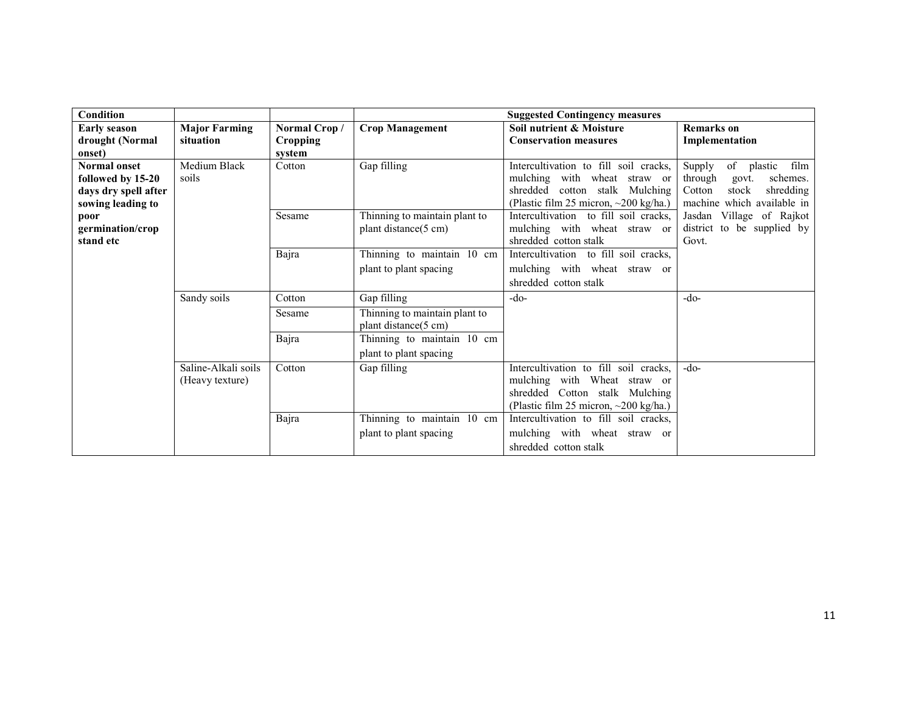| Condition                     |                      |                 |                               | <b>Suggested Contingency measures</b>                 |                                     |
|-------------------------------|----------------------|-----------------|-------------------------------|-------------------------------------------------------|-------------------------------------|
| <b>Early season</b>           | <b>Major Farming</b> | Normal Crop/    | <b>Crop Management</b>        | Soil nutrient & Moisture                              | <b>Remarks</b> on                   |
| drought (Normal               | situation            | <b>Cropping</b> |                               | <b>Conservation measures</b>                          | Implementation                      |
| onset)                        |                      | system          |                               |                                                       |                                     |
| <b>Normal onset</b>           | Medium Black         | Cotton          | Gap filling                   | Intercultivation to fill soil cracks,                 | Supply<br>of<br>film<br>plastic     |
| followed by 15-20             | soils                |                 |                               | mulching with wheat straw or                          | through<br>schemes.<br>govt.        |
| days dry spell after          |                      |                 |                               | shredded cotton stalk Mulching                        | stock<br>shredding<br>Cotton        |
| sowing leading to             |                      |                 |                               | (Plastic film 25 micron, ~200 kg/ha.)                 | machine which available in          |
| poor                          |                      | Sesame          | Thinning to maintain plant to | Intercultivation to fill soil cracks,                 | Jasdan Village of Rajkot            |
| germination/crop<br>stand etc |                      |                 | plant distance(5 cm)          | mulching with wheat straw or<br>shredded cotton stalk | district to be supplied by<br>Govt. |
|                               |                      | Bajra           | Thinning to maintain 10 cm    | Intercultivation to fill soil cracks,                 |                                     |
|                               |                      |                 | plant to plant spacing        | mulching with wheat straw or                          |                                     |
|                               |                      |                 |                               | shredded cotton stalk                                 |                                     |
|                               | Sandy soils          | Cotton          | Gap filling                   | $-do-$                                                | $-do-$                              |
|                               |                      | Sesame          | Thinning to maintain plant to |                                                       |                                     |
|                               |                      |                 | plant distance(5 cm)          |                                                       |                                     |
|                               |                      | Bajra           | Thinning to maintain 10 cm    |                                                       |                                     |
|                               |                      |                 | plant to plant spacing        |                                                       |                                     |
|                               | Saline-Alkali soils  | Cotton          | Gap filling                   | Intercultivation to fill soil cracks,                 | $-do-$                              |
|                               | (Heavy texture)      |                 |                               | mulching with Wheat straw or                          |                                     |
|                               |                      |                 |                               | shredded Cotton stalk Mulching                        |                                     |
|                               |                      |                 |                               | (Plastic film 25 micron, ~200 kg/ha.)                 |                                     |
|                               |                      | Bajra           | Thinning to maintain 10 cm    | Intercultivation to fill soil cracks,                 |                                     |
|                               |                      |                 | plant to plant spacing        | mulching with wheat straw or                          |                                     |
|                               |                      |                 |                               | shredded cotton stalk                                 |                                     |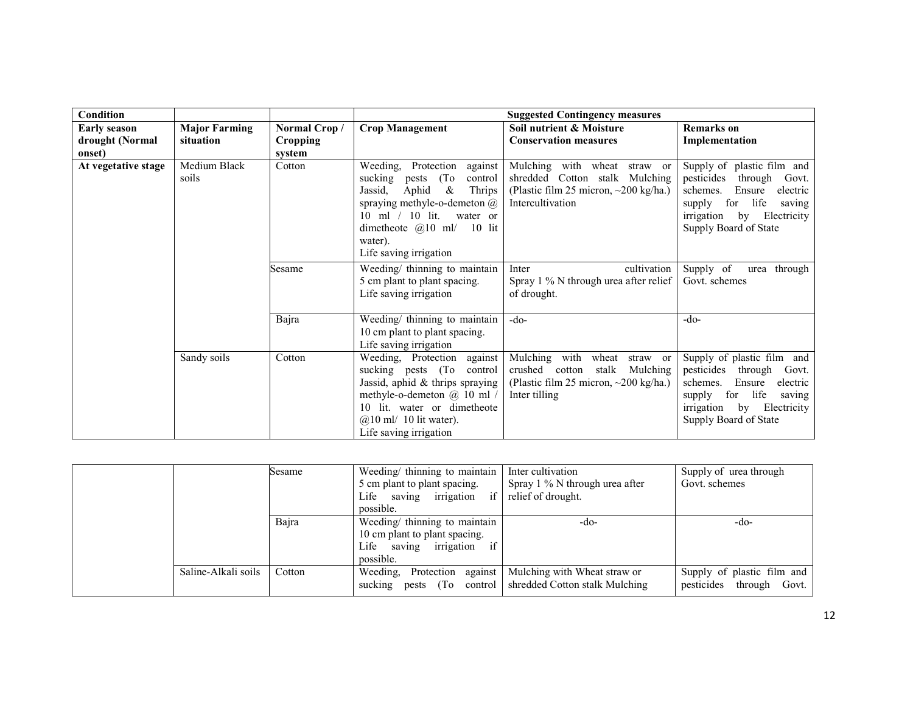| <b>Condition</b>    |                       |                 |                                                                                                                                                                                                                                                    | <b>Suggested Contingency measures</b>                                                                                                     |                                                                                                                                                                                               |
|---------------------|-----------------------|-----------------|----------------------------------------------------------------------------------------------------------------------------------------------------------------------------------------------------------------------------------------------------|-------------------------------------------------------------------------------------------------------------------------------------------|-----------------------------------------------------------------------------------------------------------------------------------------------------------------------------------------------|
| <b>Early season</b> | <b>Major Farming</b>  | Normal Crop/    | <b>Crop Management</b>                                                                                                                                                                                                                             | Soil nutrient & Moisture                                                                                                                  | <b>Remarks</b> on                                                                                                                                                                             |
| drought (Normal     | situation             | <b>Cropping</b> |                                                                                                                                                                                                                                                    | <b>Conservation measures</b>                                                                                                              | Implementation                                                                                                                                                                                |
| onset)              |                       | system          |                                                                                                                                                                                                                                                    |                                                                                                                                           |                                                                                                                                                                                               |
| At vegetative stage | Medium Black<br>soils | Cotton          | Weeding, Protection<br>against<br>sucking<br>(To)<br>control<br>pests<br>Aphid<br>$\&$<br>Jassid.<br>Thrips<br>spraying methyle-o-demeton $@$<br>10 ml $/$ 10 lit.<br>water or<br>dimetheote $@10$ ml/ 10 lit<br>water).<br>Life saving irrigation | Mulching with wheat<br>straw or<br>shredded Cotton stalk Mulching<br>(Plastic film 25 micron, $\sim$ 200 kg/ha.)<br>Intercultivation      | Supply of plastic film and<br>pesticides<br>through<br>Govt.<br>Ensure<br>schemes.<br>electric<br>life<br>for<br>supply<br>saving<br>by Electricity<br>irrigation<br>Supply Board of State    |
|                     |                       | Sesame          | Weeding/ thinning to maintain<br>5 cm plant to plant spacing.<br>Life saving irrigation                                                                                                                                                            | cultivation<br>Inter<br>Spray 1 % N through urea after relief<br>of drought.                                                              | Supply of<br>through<br>urea<br>Govt. schemes                                                                                                                                                 |
|                     |                       | Bajra           | Weeding/ thinning to maintain<br>10 cm plant to plant spacing.<br>Life saving irrigation                                                                                                                                                           | $-do-$                                                                                                                                    | $-do-$                                                                                                                                                                                        |
|                     | Sandy soils           | Cotton          | Weeding, Protection<br>against<br>sucking pests (To<br>control<br>Jassid, aphid & thrips spraying<br>methyle-o-demeton @ 10 ml /<br>10 lit. water or dimetheote<br>$@10$ ml/ 10 lit water).<br>Life saving irrigation                              | Mulching with<br>wheat<br>straw or<br>crushed cotton<br>stalk<br>Mulching<br>(Plastic film 25 micron, $\sim$ 200 kg/ha.)<br>Inter tilling | Supply of plastic film and<br>pesticides<br>through<br>Govt.<br>Ensure<br>schemes.<br>electric<br>life<br>for<br>supply<br>saving<br>irrigation<br>Electricity<br>by<br>Supply Board of State |

|                     | Sesame | Weeding/ thinning to maintain $\parallel$ | Inter cultivation                                          | Supply of urea through     |
|---------------------|--------|-------------------------------------------|------------------------------------------------------------|----------------------------|
|                     |        | 5 cm plant to plant spacing.              | Spray $1\%$ N through urea after                           | Govt. schemes              |
|                     |        | Life saving irrigation if                 | relief of drought.                                         |                            |
|                     |        | possible.                                 |                                                            |                            |
|                     | Bajra  | Weeding/ thinning to maintain             | $-dO$                                                      | -do-                       |
|                     |        | 10 cm plant to plant spacing.             |                                                            |                            |
|                     |        | Life saving irrigation if                 |                                                            |                            |
|                     |        | possible.                                 |                                                            |                            |
| Saline-Alkali soils | Cotton | Weeding, Protection against               | Mulching with Wheat straw or                               | Supply of plastic film and |
|                     |        |                                           | sucking pests (To control   shredded Cotton stalk Mulching | pesticides through Govt.   |
|                     |        |                                           |                                                            |                            |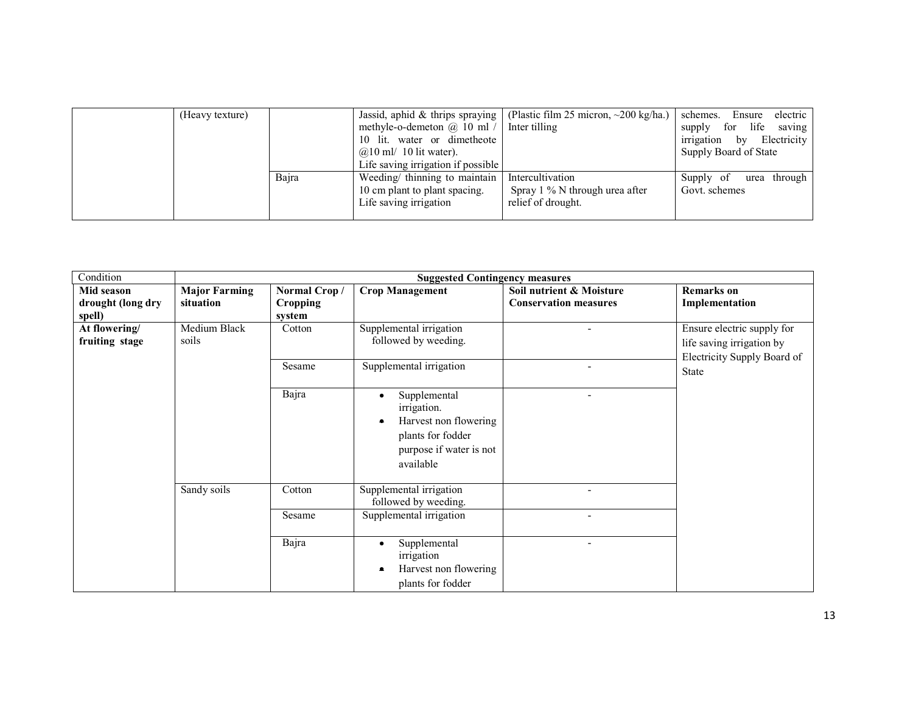| (Heavy texture) |       | Jassid, aphid & thrips spraying    | (Plastic film 25 micron, $\sim$ 200 kg/ha.) | schemes.<br>Ensure<br>electric  |
|-----------------|-------|------------------------------------|---------------------------------------------|---------------------------------|
|                 |       | methyle-o-demeton $\omega$ 10 ml / | Inter tilling                               | life<br>for<br>saving<br>supply |
|                 |       | 10 lit. water or dimetheote        |                                             | irrigation<br>Electricity<br>by |
|                 |       | $@10$ ml/ 10 lit water).           |                                             | Supply Board of State           |
|                 |       | Life saving irrigation if possible |                                             |                                 |
|                 | Bajra | Weeding/ thinning to maintain      | Intercultivation                            | Supply of<br>through<br>urea    |
|                 |       | 10 cm plant to plant spacing.      | Spray $1\%$ N through urea after            | Govt. schemes                   |
|                 |       | Life saving irrigation             | relief of drought.                          |                                 |
|                 |       |                                    |                                             |                                 |

| Condition                                 |                                   |                                           | <b>Suggested Contingency measures</b>                                                                             |                                                          |                                                                                        |
|-------------------------------------------|-----------------------------------|-------------------------------------------|-------------------------------------------------------------------------------------------------------------------|----------------------------------------------------------|----------------------------------------------------------------------------------------|
| Mid season<br>drought (long dry<br>spell) | <b>Major Farming</b><br>situation | Normal Crop/<br><b>Cropping</b><br>system | <b>Crop Management</b>                                                                                            | Soil nutrient & Moisture<br><b>Conservation measures</b> | <b>Remarks</b> on<br>Implementation                                                    |
| At flowering/<br>fruiting stage           | Medium Black<br>soils             | Cotton                                    | Supplemental irrigation<br>followed by weeding.                                                                   |                                                          | Ensure electric supply for<br>life saving irrigation by<br>Electricity Supply Board of |
|                                           |                                   | Sesame                                    | Supplemental irrigation                                                                                           | $\overline{\phantom{a}}$                                 | State                                                                                  |
|                                           |                                   | Bajra                                     | Supplemental<br>irrigation.<br>Harvest non flowering<br>plants for fodder<br>purpose if water is not<br>available |                                                          |                                                                                        |
|                                           | Sandy soils                       | Cotton                                    | Supplemental irrigation<br>followed by weeding.                                                                   |                                                          |                                                                                        |
|                                           |                                   | Sesame                                    | Supplemental irrigation                                                                                           |                                                          |                                                                                        |
|                                           |                                   | Bajra                                     | Supplemental<br>$\bullet$<br>irrigation<br>Harvest non flowering<br>plants for fodder                             |                                                          |                                                                                        |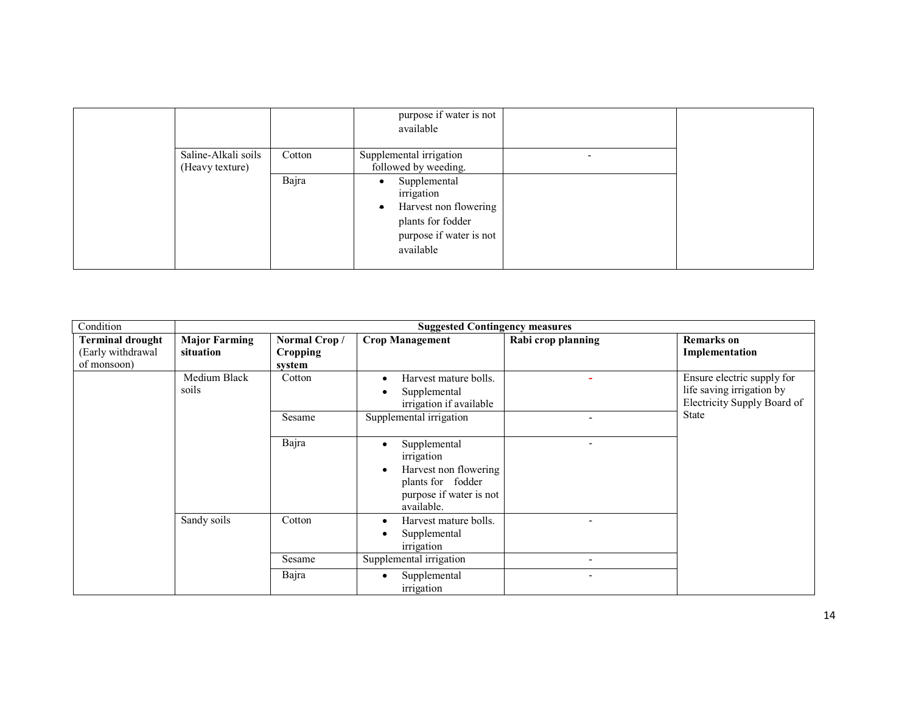|                                        |        | purpose if water is not<br>available                                                                                          |  |
|----------------------------------------|--------|-------------------------------------------------------------------------------------------------------------------------------|--|
| Saline-Alkali soils<br>(Heavy texture) | Cotton | Supplemental irrigation<br>followed by weeding.                                                                               |  |
|                                        | Bajra  | Supplemental<br>irrigation<br>Harvest non flowering<br>$\bullet$<br>plants for fodder<br>purpose if water is not<br>available |  |

| Condition                                                   | <b>Suggested Contingency measures</b> |                                           |                                                                                                                                             |                    |                                                                                        |
|-------------------------------------------------------------|---------------------------------------|-------------------------------------------|---------------------------------------------------------------------------------------------------------------------------------------------|--------------------|----------------------------------------------------------------------------------------|
| <b>Terminal drought</b><br>(Early withdrawal<br>of monsoon) | <b>Major Farming</b><br>situation     | Normal Crop/<br><b>Cropping</b><br>system | <b>Crop Management</b>                                                                                                                      | Rabi crop planning | <b>Remarks</b> on<br>Implementation                                                    |
|                                                             | Medium Black<br>soils                 | Cotton                                    | Harvest mature bolls.<br>$\bullet$<br>Supplemental<br>٠<br>irrigation if available                                                          |                    | Ensure electric supply for<br>life saving irrigation by<br>Electricity Supply Board of |
|                                                             |                                       | Sesame                                    | Supplemental irrigation                                                                                                                     |                    | <b>State</b>                                                                           |
|                                                             |                                       | Bajra                                     | Supplemental<br>$\bullet$<br>irrigation<br>Harvest non flowering<br>$\bullet$<br>plants for fodder<br>purpose if water is not<br>available. |                    |                                                                                        |
|                                                             | Sandy soils                           | Cotton                                    | Harvest mature bolls.<br>$\bullet$<br>Supplemental<br>$\bullet$<br>irrigation                                                               |                    |                                                                                        |
|                                                             |                                       | Sesame                                    | Supplemental irrigation                                                                                                                     |                    |                                                                                        |
|                                                             |                                       | Bajra                                     | Supplemental<br>٠<br>irrigation                                                                                                             |                    |                                                                                        |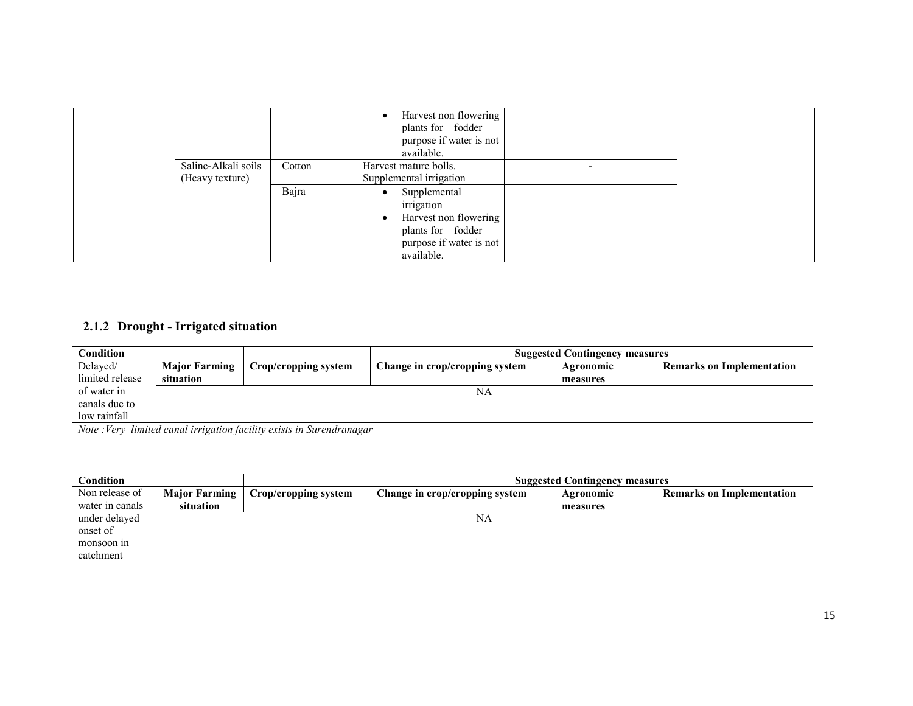|                     |        | Harvest non flowering<br>plants for fodder<br>purpose if water is not |  |
|---------------------|--------|-----------------------------------------------------------------------|--|
| Saline-Alkali soils | Cotton | available.<br>Harvest mature bolls.                                   |  |
| (Heavy texture)     |        | Supplemental irrigation                                               |  |
|                     | Bajra  | Supplemental<br>$\bullet$                                             |  |
|                     |        | irrigation<br>Harvest non flowering<br>$\bullet$                      |  |
|                     |        | plants for fodder                                                     |  |
|                     |        | purpose if water is not<br>available.                                 |  |

## 2.1.2 Drought - Irrigated situation

| Condition       |                      | <b>Suggested Contingency measures</b> |                                |           |                                  |
|-----------------|----------------------|---------------------------------------|--------------------------------|-----------|----------------------------------|
| Delayed/        | <b>Major Farming</b> | Crop/cropping system                  | Change in crop/cropping system | Agronomic | <b>Remarks on Implementation</b> |
| limited release | situation            |                                       |                                | measures  |                                  |
| of water in     |                      |                                       | NA                             |           |                                  |
| canals due to   |                      |                                       |                                |           |                                  |
| low rainfall    |                      |                                       |                                |           |                                  |

Note :Very limited canal irrigation facility exists in Surendranagar

| <b>Condition</b> |                      | <b>Suggested Contingency measures</b> |                                |           |                                  |
|------------------|----------------------|---------------------------------------|--------------------------------|-----------|----------------------------------|
| Non release of   | <b>Major Farming</b> | Crop/cropping system                  | Change in crop/cropping system | Agronomic | <b>Remarks on Implementation</b> |
| water in canals  | situation            |                                       |                                | measures  |                                  |
| under delayed    |                      |                                       | NA                             |           |                                  |
| onset of         |                      |                                       |                                |           |                                  |
| monsoon in       |                      |                                       |                                |           |                                  |
| catchment        |                      |                                       |                                |           |                                  |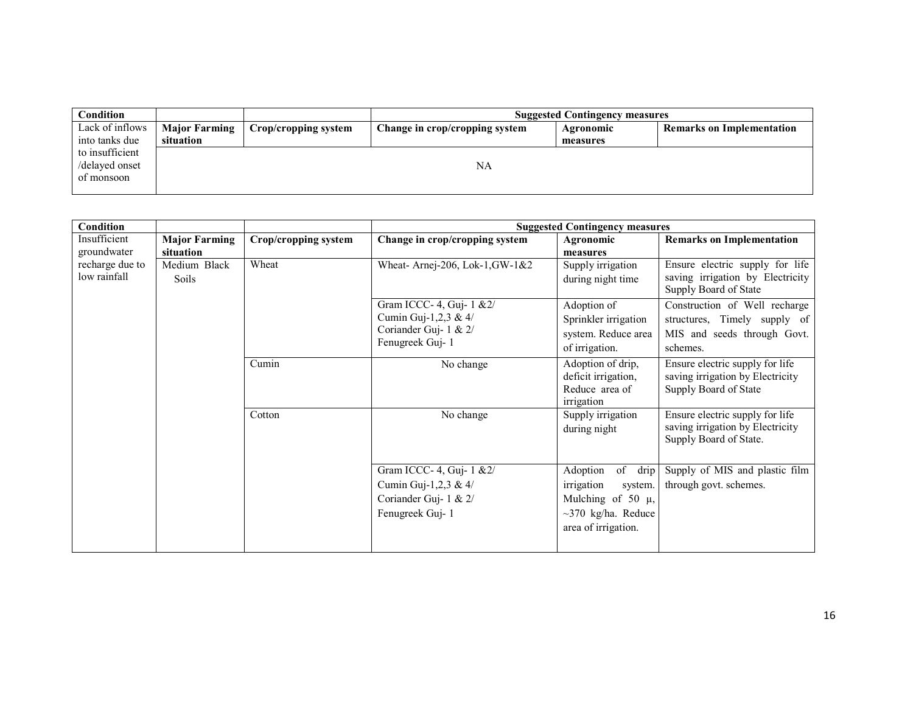| <b>Condition</b> |                      |                      |                                | <b>Suggested Contingency measures</b> |                                  |
|------------------|----------------------|----------------------|--------------------------------|---------------------------------------|----------------------------------|
| Lack of inflows  | <b>Major Farming</b> | Crop/cropping system | Change in crop/cropping system | Agronomic                             | <b>Remarks on Implementation</b> |
| into tanks due   | situation            |                      |                                | measures                              |                                  |
| to insufficient  |                      |                      |                                |                                       |                                  |
| /delayed onset   |                      |                      | NA                             |                                       |                                  |
| of monsoon       |                      |                      |                                |                                       |                                  |
|                  |                      |                      |                                |                                       |                                  |

| Condition                       |                                   |                      |                                                                                               | <b>Suggested Contingency measures</b>                                                                                     |                                                                                                          |
|---------------------------------|-----------------------------------|----------------------|-----------------------------------------------------------------------------------------------|---------------------------------------------------------------------------------------------------------------------------|----------------------------------------------------------------------------------------------------------|
| Insufficient<br>groundwater     | <b>Major Farming</b><br>situation | Crop/cropping system | Change in crop/cropping system                                                                | Agronomic<br>measures                                                                                                     | <b>Remarks on Implementation</b>                                                                         |
| recharge due to<br>low rainfall | Medium Black<br>Soils             | Wheat                | Wheat- Arnej-206, Lok-1, GW-1&2                                                               | Supply irrigation<br>during night time                                                                                    | Ensure electric supply for life<br>saving irrigation by Electricity<br>Supply Board of State             |
|                                 |                                   |                      | Gram ICCC- 4, Guj- 1 & 2/<br>Cumin Guj-1,2,3 & 4/<br>Coriander Guj- 1 & 2/<br>Fenugreek Guj-1 | Adoption of<br>Sprinkler irrigation<br>system. Reduce area<br>of irrigation.                                              | Construction of Well recharge<br>structures, Timely supply of<br>MIS and seeds through Govt.<br>schemes. |
|                                 |                                   | Cumin                | No change                                                                                     | Adoption of drip,<br>deficit irrigation,<br>Reduce area of<br>irrigation                                                  | Ensure electric supply for life<br>saving irrigation by Electricity<br>Supply Board of State             |
|                                 |                                   | Cotton               | No change                                                                                     | Supply irrigation<br>during night                                                                                         | Ensure electric supply for life<br>saving irrigation by Electricity<br>Supply Board of State.            |
|                                 |                                   |                      | Gram ICCC- 4, Guj- 1 & 2/<br>Cumin Guj-1,2,3 & 4/<br>Coriander Guj- 1 & 2/<br>Fenugreek Guj-1 | Adoption<br>of drip<br>irrigation<br>system.<br>Mulching of 50 $\mu$ ,<br>$\sim$ 370 kg/ha. Reduce<br>area of irrigation. | Supply of MIS and plastic film<br>through govt. schemes.                                                 |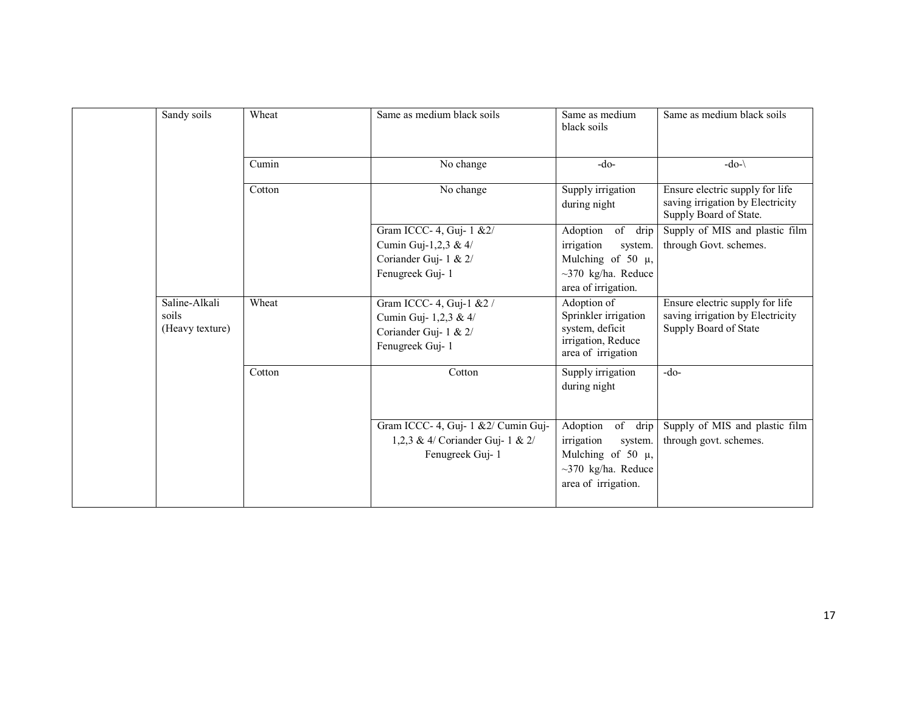| Sandy soils                               | Wheat  | Same as medium black soils                                                                     | Same as medium<br>black soils                                                                                                | Same as medium black soils                                                                    |
|-------------------------------------------|--------|------------------------------------------------------------------------------------------------|------------------------------------------------------------------------------------------------------------------------------|-----------------------------------------------------------------------------------------------|
|                                           | Cumin  | No change                                                                                      | $-do-$                                                                                                                       | $-do-\$                                                                                       |
|                                           | Cotton | No change                                                                                      | Supply irrigation<br>during night                                                                                            | Ensure electric supply for life<br>saving irrigation by Electricity<br>Supply Board of State. |
|                                           |        | Gram ICCC- 4, Guj- 1 & 2/<br>Cumin Guj-1,2,3 & 4/<br>Coriander Guj-1 & 2/<br>Fenugreek Guj-1   | of<br>Adoption<br>drip<br>irrigation<br>system.<br>Mulching of 50 $\mu$ ,<br>$\sim$ 370 kg/ha. Reduce<br>area of irrigation. | Supply of MIS and plastic film<br>through Govt. schemes.                                      |
| Saline-Alkali<br>soils<br>(Heavy texture) | Wheat  | Gram ICCC- 4, Guj-1 & 2 /<br>Cumin Guj- 1,2,3 & 4/<br>Coriander Guj- 1 & 2/<br>Fenugreek Guj-1 | Adoption of<br>Sprinkler irrigation<br>system, deficit<br>irrigation, Reduce<br>area of irrigation                           | Ensure electric supply for life<br>saving irrigation by Electricity<br>Supply Board of State  |
|                                           | Cotton | Cotton                                                                                         | Supply irrigation<br>during night                                                                                            | $-do-$                                                                                        |
|                                           |        | Gram ICCC- 4, Guj- 1 & 2/ Cumin Guj-<br>1,2,3 & 4/ Coriander Guj- 1 & 2/<br>Fenugreek Guj-1    | of<br>Adoption<br>drip<br>irrigation<br>system.<br>Mulching of 50 $\mu$ ,<br>$~1370$ kg/ha. Reduce<br>area of irrigation.    | Supply of MIS and plastic film<br>through govt. schemes.                                      |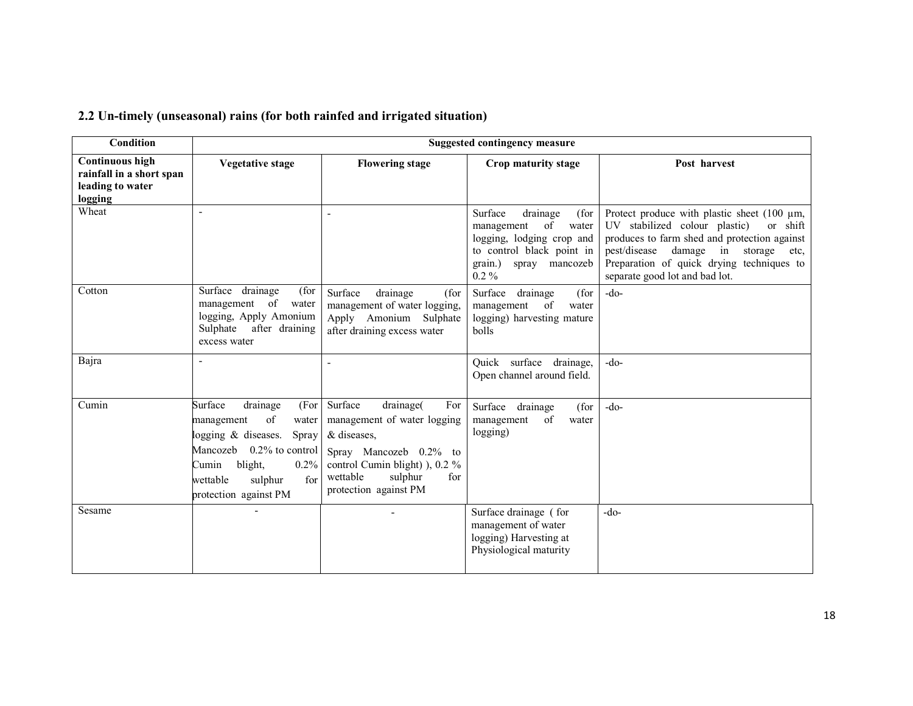| <b>Condition</b>                                                                  |                                                                                                                                                                                                              |                                                                                                                                                                                              | <b>Suggested contingency measure</b>                                                                                                                       |                                                                                                                                                                                                                                                                           |
|-----------------------------------------------------------------------------------|--------------------------------------------------------------------------------------------------------------------------------------------------------------------------------------------------------------|----------------------------------------------------------------------------------------------------------------------------------------------------------------------------------------------|------------------------------------------------------------------------------------------------------------------------------------------------------------|---------------------------------------------------------------------------------------------------------------------------------------------------------------------------------------------------------------------------------------------------------------------------|
| <b>Continuous high</b><br>rainfall in a short span<br>leading to water<br>logging | <b>Vegetative stage</b>                                                                                                                                                                                      | <b>Flowering stage</b>                                                                                                                                                                       | Crop maturity stage                                                                                                                                        | Post harvest                                                                                                                                                                                                                                                              |
| Wheat                                                                             |                                                                                                                                                                                                              |                                                                                                                                                                                              | Surface<br>drainage<br>(for<br>of<br>management<br>water<br>logging, lodging crop and<br>to control black point in<br>grain.)<br>spray mancozeb<br>$0.2\%$ | Protect produce with plastic sheet (100 $\mu$ m,<br>UV stabilized colour plastic)<br>or shift<br>produces to farm shed and protection against<br>damage in<br>pest/disease<br>storage etc,<br>Preparation of quick drying techniques to<br>separate good lot and bad lot. |
| Cotton                                                                            | Surface drainage<br>(for<br>management of<br>water<br>logging, Apply Amonium<br>Sulphate after draining<br>excess water                                                                                      | Surface<br>drainage<br>(for<br>management of water logging,<br>Apply Amonium Sulphate<br>after draining excess water                                                                         | Surface<br>(for<br>drainage<br>management<br>of<br>water<br>logging) harvesting mature<br>bolls                                                            | $-do-$                                                                                                                                                                                                                                                                    |
| Bajra                                                                             |                                                                                                                                                                                                              |                                                                                                                                                                                              | Quick surface drainage,<br>Open channel around field.                                                                                                      | $-do-$                                                                                                                                                                                                                                                                    |
| Cumin                                                                             | Surface<br>drainage<br>(For<br>of<br>management<br>water<br>ogging $\&$ diseases.<br>Spray<br>Mancozeb 0.2% to control<br>blight,<br>Cumin<br>$0.2\%$<br>for<br>wettable<br>sulphur<br>protection against PM | Surface<br>drainage(<br>For<br>management of water logging<br>& diseases,<br>Spray Mancozeb 0.2% to<br>control Cumin blight) ), 0.2 %<br>wettable<br>sulphur<br>for<br>protection against PM | Surface drainage<br>(for<br>of<br>management<br>water<br>logging)                                                                                          | $-do-$                                                                                                                                                                                                                                                                    |
| Sesame                                                                            |                                                                                                                                                                                                              |                                                                                                                                                                                              | Surface drainage (for<br>management of water<br>logging) Harvesting at<br>Physiological maturity                                                           | $-do-$                                                                                                                                                                                                                                                                    |

#### 2.2 Un-timely (unseasonal) rains (for both rainfed and irrigated situation)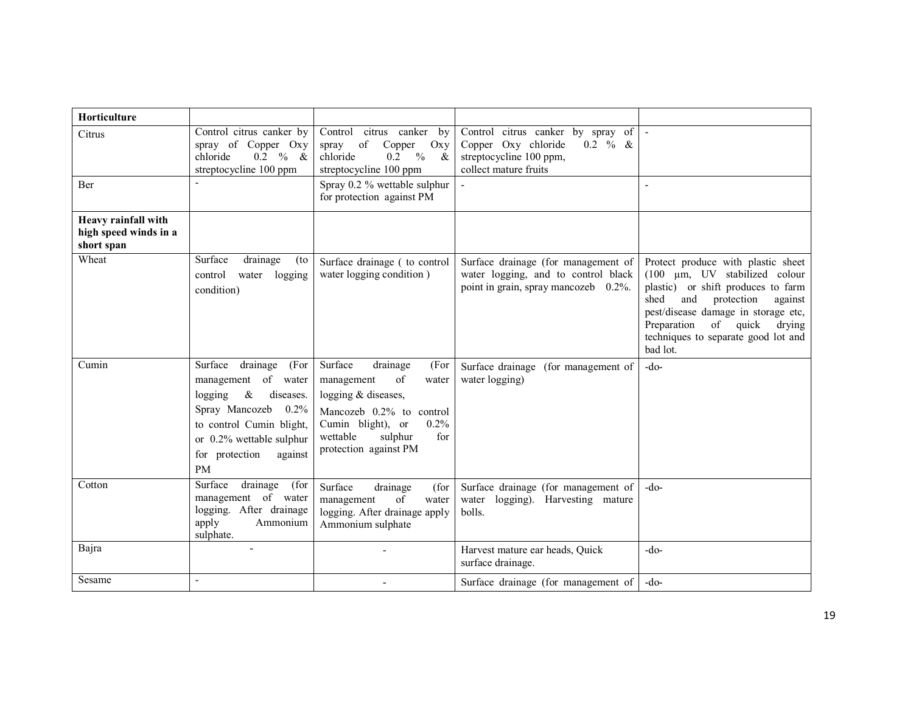| <b>Horticulture</b>                                        |                                                                                                                                                                                                      |                                                                                                                                                                                                 |                                                                                                                            |                                                                                                                                                                                                                                                                                        |
|------------------------------------------------------------|------------------------------------------------------------------------------------------------------------------------------------------------------------------------------------------------------|-------------------------------------------------------------------------------------------------------------------------------------------------------------------------------------------------|----------------------------------------------------------------------------------------------------------------------------|----------------------------------------------------------------------------------------------------------------------------------------------------------------------------------------------------------------------------------------------------------------------------------------|
| Citrus                                                     | Control citrus canker by<br>spray of Copper Oxy<br>$0.2 \t% \t&$<br>chloride<br>streptocycline 100 ppm                                                                                               | Control citrus canker by<br>of<br>Copper<br>Oxy<br>spray<br>$0.2 \frac{9}{6}$<br>chloride<br>$\&$<br>streptocycline 100 ppm                                                                     | Control citrus canker by spray of<br>Copper Oxy chloride<br>$0.2 \% &$<br>streptocycline 100 ppm,<br>collect mature fruits | $\blacksquare$                                                                                                                                                                                                                                                                         |
| <b>Ber</b>                                                 |                                                                                                                                                                                                      | Spray 0.2 % wettable sulphur<br>for protection against PM                                                                                                                                       |                                                                                                                            | $\overline{a}$                                                                                                                                                                                                                                                                         |
| Heavy rainfall with<br>high speed winds in a<br>short span |                                                                                                                                                                                                      |                                                                                                                                                                                                 |                                                                                                                            |                                                                                                                                                                                                                                                                                        |
| Wheat                                                      | Surface<br>drainage<br>(to<br>logging<br>control<br>water<br>condition)                                                                                                                              | Surface drainage (to control<br>water logging condition)                                                                                                                                        | Surface drainage (for management of<br>water logging, and to control black<br>point in grain, spray mancozeb 0.2%.         | Protect produce with plastic sheet<br>$(100 \mu m, UV)$ stabilized colour<br>plastic) or shift produces to farm<br>shed<br>and<br>protection<br>against<br>pest/disease damage in storage etc,<br>Preparation<br>of quick<br>drying<br>techniques to separate good lot and<br>bad lot. |
| Cumin                                                      | Surface<br>drainage<br>(For<br>management of water<br>logging<br>$\&$<br>diseases.<br>Spray Mancozeb 0.2%<br>to control Cumin blight,<br>or 0.2% wettable sulphur<br>for protection<br>against<br>PM | Surface<br>drainage<br>(For<br>of<br>management<br>water<br>logging & diseases,<br>Mancozeb 0.2% to control<br>Cumin blight), or<br>0.2%<br>wettable<br>sulphur<br>for<br>protection against PM | Surface drainage (for management of<br>water logging)                                                                      | $-do-$                                                                                                                                                                                                                                                                                 |
| Cotton                                                     | Surface<br>drainage<br>(for<br>management of water<br>logging. After drainage<br>apply<br>Ammonium<br>sulphate.                                                                                      | Surface<br>drainage<br>(for<br>of<br>management<br>water<br>logging. After drainage apply<br>Ammonium sulphate                                                                                  | Surface drainage (for management of<br>water logging). Harvesting mature<br>bolls.                                         | $-do-$                                                                                                                                                                                                                                                                                 |
| Bajra                                                      |                                                                                                                                                                                                      |                                                                                                                                                                                                 | Harvest mature ear heads, Quick<br>surface drainage.                                                                       | $-do-$                                                                                                                                                                                                                                                                                 |
| Sesame                                                     | $\overline{a}$                                                                                                                                                                                       |                                                                                                                                                                                                 | Surface drainage (for management of                                                                                        | $-do-$                                                                                                                                                                                                                                                                                 |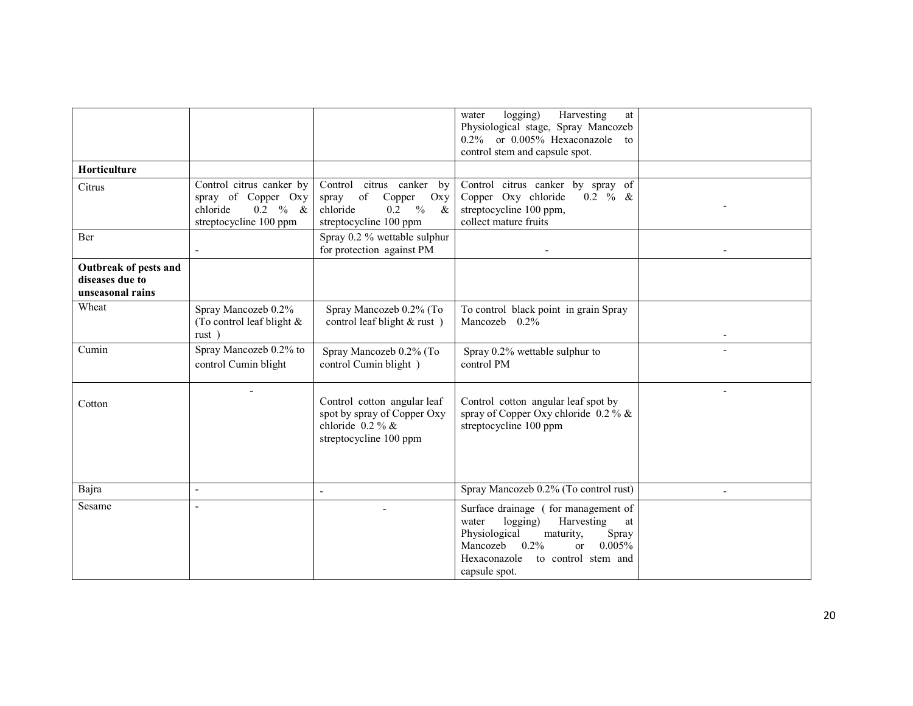|                                                              |                                                                                                       |                                                                                                                                                                                                                          | Harvesting<br>logging)<br>at<br>water<br>Physiological stage, Spray Mancozeb<br>or 0.005% Hexaconazole<br>$0.2\%$<br>to<br>control stem and capsule spot.                                                                     |  |
|--------------------------------------------------------------|-------------------------------------------------------------------------------------------------------|--------------------------------------------------------------------------------------------------------------------------------------------------------------------------------------------------------------------------|-------------------------------------------------------------------------------------------------------------------------------------------------------------------------------------------------------------------------------|--|
| <b>Horticulture</b>                                          |                                                                                                       |                                                                                                                                                                                                                          |                                                                                                                                                                                                                               |  |
| Citrus                                                       | Control citrus canker by<br>spray of Copper Oxy<br>$0.2 \t% \&$<br>chloride<br>streptocycline 100 ppm | Control citrus canker<br>by<br>$% \left( \left( \mathcal{A},\mathcal{A}\right) \right) =\left( \mathcal{A},\mathcal{A}\right)$ of<br>Copper<br>Oxy<br>spray<br>chloride<br>0.2<br>$\%$<br>$\&$<br>streptocycline 100 ppm | Control citrus canker by spray of<br>Copper Oxy chloride<br>$0.2 \% &$<br>streptocycline 100 ppm,<br>collect mature fruits                                                                                                    |  |
| Ber                                                          |                                                                                                       | Spray 0.2 % wettable sulphur<br>for protection against PM                                                                                                                                                                |                                                                                                                                                                                                                               |  |
| Outbreak of pests and<br>diseases due to<br>unseasonal rains |                                                                                                       |                                                                                                                                                                                                                          |                                                                                                                                                                                                                               |  |
| Wheat                                                        | Spray Mancozeb 0.2%<br>(To control leaf blight &<br>rust)                                             | Spray Mancozeb 0.2% (To<br>control leaf blight & rust)                                                                                                                                                                   | To control black point in grain Spray<br>Mancozeb $0.2\%$                                                                                                                                                                     |  |
| Cumin                                                        | Spray Mancozeb 0.2% to<br>control Cumin blight                                                        | Spray Mancozeb 0.2% (To<br>control Cumin blight)                                                                                                                                                                         | Spray 0.2% wettable sulphur to<br>control PM                                                                                                                                                                                  |  |
| Cotton                                                       |                                                                                                       | Control cotton angular leaf<br>spot by spray of Copper Oxy<br>chloride $0.2\%$ &<br>streptocycline 100 ppm                                                                                                               | Control cotton angular leaf spot by<br>spray of Copper Oxy chloride $0.2\%$ &<br>streptocycline 100 ppm                                                                                                                       |  |
| Bajra                                                        | $\overline{\phantom{a}}$                                                                              |                                                                                                                                                                                                                          | Spray Mancozeb 0.2% (To control rust)                                                                                                                                                                                         |  |
| Sesame                                                       |                                                                                                       |                                                                                                                                                                                                                          | Surface drainage (for management of<br>logging)<br>Harvesting<br>water<br>at<br>Physiological<br>Spray<br>maturity,<br>0.005%<br>Mancozeb<br>$0.2\%$<br><sub>or</sub><br>Hexaconazole<br>to control stem and<br>capsule spot. |  |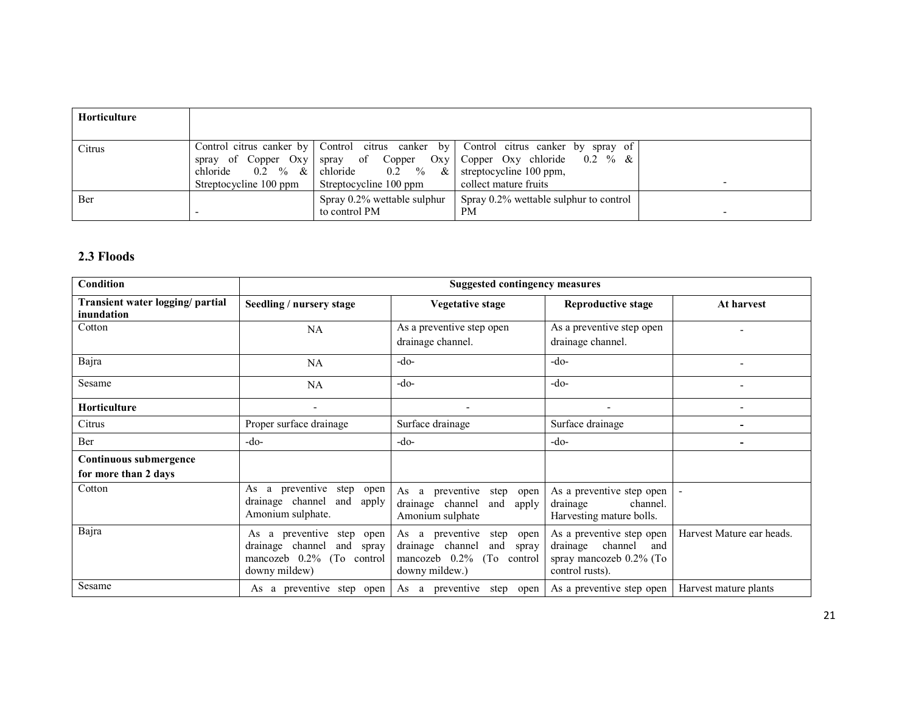| <b>Horticulture</b> |                                                                           |                                                                                    |                                                                                                                                                                    |   |
|---------------------|---------------------------------------------------------------------------|------------------------------------------------------------------------------------|--------------------------------------------------------------------------------------------------------------------------------------------------------------------|---|
| Citrus              | spray of Copper Oxy<br>chloride<br>$0.2 \t% \&$<br>Streptocycline 100 ppm | chloride $0.2 \quad \% \quad \&$ streptocycline 100 ppm,<br>Streptocycline 100 ppm | Control citrus canker by Control citrus canker by Control citrus canker by spray of<br>spray of Copper Oxy Copper Oxy chloride $0.2 \%$ &<br>collect mature fruits | - |
| Ber                 |                                                                           | Spray 0.2% wettable sulphur<br>to control PM                                       | Spray 0.2% wettable sulphur to control<br><b>PM</b>                                                                                                                | - |

#### 2.3 Floods

| Condition                                      | <b>Suggested contingency measures</b>                                                                                |                                                                                                                                              |                                                                                                       |                           |  |
|------------------------------------------------|----------------------------------------------------------------------------------------------------------------------|----------------------------------------------------------------------------------------------------------------------------------------------|-------------------------------------------------------------------------------------------------------|---------------------------|--|
| Transient water logging/ partial<br>inundation | Seedling / nursery stage                                                                                             | Vegetative stage                                                                                                                             | Reproductive stage                                                                                    | At harvest                |  |
| Cotton                                         | <b>NA</b>                                                                                                            | As a preventive step open<br>drainage channel.                                                                                               | As a preventive step open<br>drainage channel.                                                        |                           |  |
| Bajra                                          | <b>NA</b>                                                                                                            | $-do-$                                                                                                                                       | $-do-$                                                                                                |                           |  |
| Sesame                                         | <b>NA</b>                                                                                                            | $-do-$                                                                                                                                       | $-do-$                                                                                                |                           |  |
| <b>Horticulture</b>                            | $\overline{\phantom{a}}$                                                                                             |                                                                                                                                              |                                                                                                       |                           |  |
| Citrus                                         | Proper surface drainage                                                                                              | Surface drainage                                                                                                                             | Surface drainage                                                                                      |                           |  |
| Ber                                            | -do-                                                                                                                 | -do-                                                                                                                                         | $-do-$                                                                                                |                           |  |
| Continuous submergence<br>for more than 2 days |                                                                                                                      |                                                                                                                                              |                                                                                                       |                           |  |
| Cotton                                         | a preventive<br>As<br>step<br>open<br>drainage channel<br>and<br>apply<br>Amonium sulphate.                          | As a<br>preventive<br>step<br>open<br>drainage channel<br>and<br>apply<br>Amonium sulphate                                                   | As a preventive step open<br>channel.<br>drainage<br>Harvesting mature bolls.                         |                           |  |
| Bajra                                          | a preventive<br>step<br>As<br>open<br>drainage channel<br>and<br>spray<br>mancozeb 0.2% (To control<br>downy mildew) | As a preventive<br>step<br>open<br>channel<br>drainage<br>and<br>spray<br>mancozeb $0.2\%$<br>(T <sub>o</sub> )<br>control<br>downy mildew.) | As a preventive step open<br>channel<br>drainage<br>and<br>spray mancozeb 0.2% (To<br>control rusts). | Harvest Mature ear heads. |  |
| Sesame                                         | As a preventive step open                                                                                            | As a preventive<br>step<br>open                                                                                                              | As a preventive step open                                                                             | Harvest mature plants     |  |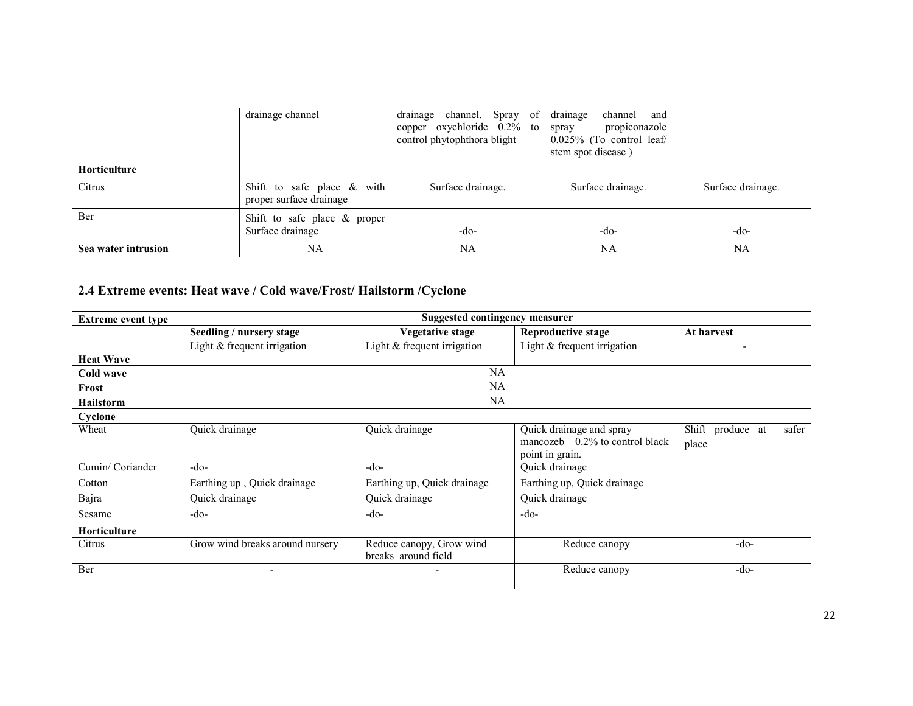|                     | drainage channel                                         | Spray of<br>channel.<br>drainage<br>copper oxychloride $0.2\%$ to<br>control phytophthora blight | drainage<br>channel and<br>propiconazole<br>spray<br>$0.025\%$ (To control leaf/<br>stem spot disease) |                   |
|---------------------|----------------------------------------------------------|--------------------------------------------------------------------------------------------------|--------------------------------------------------------------------------------------------------------|-------------------|
| Horticulture        |                                                          |                                                                                                  |                                                                                                        |                   |
| Citrus              | Shift to safe place $\&$ with<br>proper surface drainage | Surface drainage.                                                                                | Surface drainage.                                                                                      | Surface drainage. |
| Ber                 | Shift to safe place $\&$ proper<br>Surface drainage      | -do-                                                                                             | $-do-$                                                                                                 | -do-              |
| Sea water intrusion | NA                                                       | NA                                                                                               | NA                                                                                                     | NA                |

#### 2.4 Extreme events: Heat wave / Cold wave/Frost/ Hailstorm /Cyclone

| <b>Extreme event type</b> | <b>Suggested contingency measurer</b> |                                                 |                                                                                  |                                    |  |
|---------------------------|---------------------------------------|-------------------------------------------------|----------------------------------------------------------------------------------|------------------------------------|--|
|                           | Seedling / nursery stage              | <b>Vegetative stage</b>                         | <b>Reproductive stage</b>                                                        | At harvest                         |  |
|                           | Light & frequent irrigation           | Light $&$ frequent irrigation                   | Light & frequent irrigation                                                      |                                    |  |
| <b>Heat Wave</b>          |                                       |                                                 |                                                                                  |                                    |  |
| Cold wave                 |                                       | <b>NA</b>                                       |                                                                                  |                                    |  |
| Frost                     |                                       | <b>NA</b>                                       |                                                                                  |                                    |  |
| <b>Hailstorm</b>          |                                       | NA                                              |                                                                                  |                                    |  |
| Cyclone                   |                                       |                                                 |                                                                                  |                                    |  |
| Wheat                     | Quick drainage                        | Quick drainage                                  | Quick drainage and spray<br>mancozeb $0.2\%$ to control black<br>point in grain. | Shift produce at<br>safer<br>place |  |
| Cumin/Coriander           | $-do-$                                | $-do-$                                          | Quick drainage                                                                   |                                    |  |
| Cotton                    | Earthing up, Quick drainage           | Earthing up, Quick drainage                     | Earthing up, Quick drainage                                                      |                                    |  |
| Bajra                     | Quick drainage                        | Quick drainage                                  | Quick drainage                                                                   |                                    |  |
| Sesame                    | $-do-$                                | $-do-$                                          | $-do-$                                                                           |                                    |  |
| <b>Horticulture</b>       |                                       |                                                 |                                                                                  |                                    |  |
| Citrus                    | Grow wind breaks around nursery       | Reduce canopy, Grow wind<br>breaks around field | Reduce canopy                                                                    | $-do-$                             |  |
| Ber                       |                                       |                                                 | Reduce canopy                                                                    | $-do-$                             |  |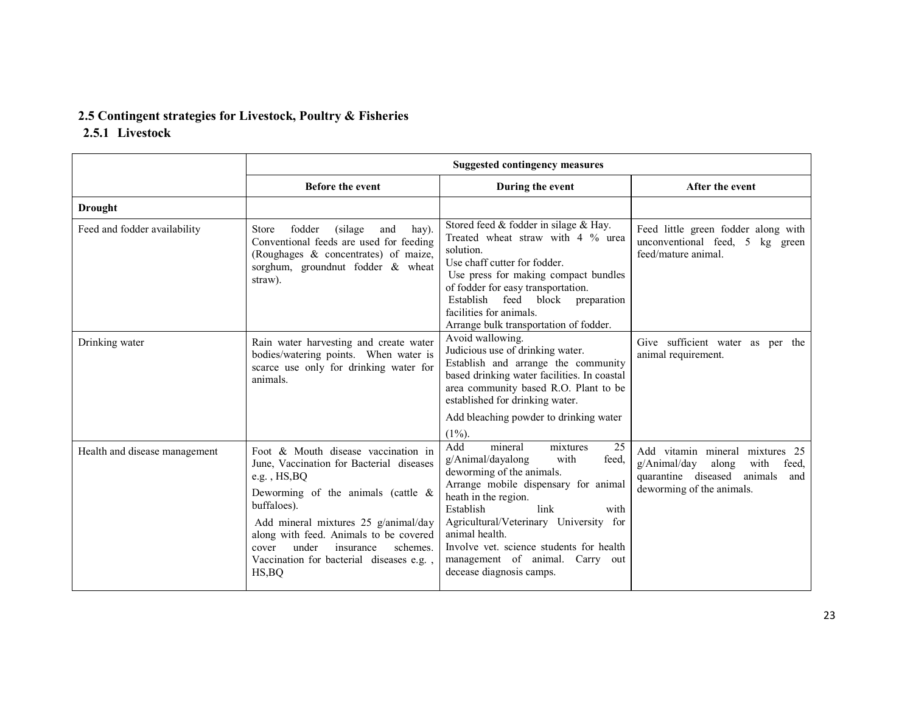### 2.5 Contingent strategies for Livestock, Poultry & Fisheries

## 2.5.1 Livestock

|                               | Suggested contingency measures                                                                                                                                                                                                                                                                                                                  |                                                                                                                                                                                                                                                                                                                                                                         |                                                                                                                                                 |  |
|-------------------------------|-------------------------------------------------------------------------------------------------------------------------------------------------------------------------------------------------------------------------------------------------------------------------------------------------------------------------------------------------|-------------------------------------------------------------------------------------------------------------------------------------------------------------------------------------------------------------------------------------------------------------------------------------------------------------------------------------------------------------------------|-------------------------------------------------------------------------------------------------------------------------------------------------|--|
|                               | <b>Before the event</b>                                                                                                                                                                                                                                                                                                                         | During the event                                                                                                                                                                                                                                                                                                                                                        | After the event                                                                                                                                 |  |
| <b>Drought</b>                |                                                                                                                                                                                                                                                                                                                                                 |                                                                                                                                                                                                                                                                                                                                                                         |                                                                                                                                                 |  |
| Feed and fodder availability  | fodder<br>(silage)<br>hay).<br><b>Store</b><br>and<br>Conventional feeds are used for feeding<br>(Roughages & concentrates) of maize,<br>sorghum, groundnut fodder & wheat<br>straw).                                                                                                                                                           | Stored feed & fodder in silage & Hay.<br>Treated wheat straw with 4 % urea<br>solution.<br>Use chaff cutter for fodder.<br>Use press for making compact bundles<br>of fodder for easy transportation.<br>Establish<br>feed block<br>preparation<br>facilities for animals.<br>Arrange bulk transportation of fodder.                                                    | Feed little green fodder along with<br>unconventional feed, 5 kg green<br>feed/mature animal.                                                   |  |
| Drinking water                | Rain water harvesting and create water<br>bodies/watering points. When water is<br>scarce use only for drinking water for<br>animals.                                                                                                                                                                                                           | Avoid wallowing.<br>Judicious use of drinking water.<br>Establish and arrange the community<br>based drinking water facilities. In coastal<br>area community based R.O. Plant to be<br>established for drinking water.<br>Add bleaching powder to drinking water<br>$(1\%)$ .                                                                                           | Give sufficient water as per the<br>animal requirement.                                                                                         |  |
| Health and disease management | Foot & Mouth disease vaccination in<br>June, Vaccination for Bacterial diseases<br>e.g., $HS$ , $BO$<br>Deworming of the animals (cattle $\&$<br>buffaloes).<br>Add mineral mixtures 25 g/animal/day<br>along with feed. Animals to be covered<br>under<br>insurance<br>schemes.<br>cover<br>Vaccination for bacterial diseases e.g.,<br>HS, BQ | Add<br>mineral<br>25<br>mixtures<br>g/Animal/dayalong<br>with<br>feed,<br>deworming of the animals.<br>Arrange mobile dispensary for animal<br>heath in the region.<br>Establish<br>link<br>with<br>Agricultural/Veterinary University for<br>animal health.<br>Involve yet, science students for health<br>management of animal. Carry out<br>decease diagnosis camps. | Add vitamin mineral mixtures 25<br>g/Animal/day<br>along<br>with<br>feed,<br>quarantine diseased<br>animals<br>and<br>deworming of the animals. |  |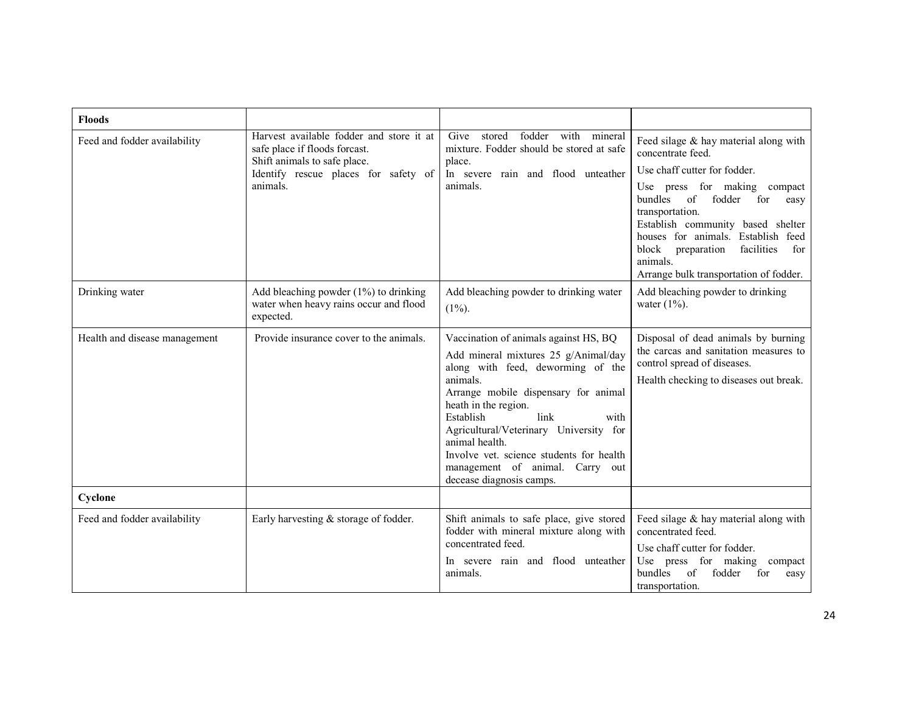| <b>Floods</b>                 |                                                                                                                                                               |                                                                                                                                                                                                                                                                                                                                                                                                    |                                                                                                                                                                                                                                                                                                                                                                          |
|-------------------------------|---------------------------------------------------------------------------------------------------------------------------------------------------------------|----------------------------------------------------------------------------------------------------------------------------------------------------------------------------------------------------------------------------------------------------------------------------------------------------------------------------------------------------------------------------------------------------|--------------------------------------------------------------------------------------------------------------------------------------------------------------------------------------------------------------------------------------------------------------------------------------------------------------------------------------------------------------------------|
| Feed and fodder availability  | Harvest available fodder and store it at<br>safe place if floods forcast.<br>Shift animals to safe place.<br>Identify rescue places for safety of<br>animals. | fodder with mineral<br>Give<br>stored<br>mixture. Fodder should be stored at safe<br>place.<br>In severe rain and flood unteather<br>animals.                                                                                                                                                                                                                                                      | Feed silage & hay material along with<br>concentrate feed.<br>Use chaff cutter for fodder.<br>Use press for making compact<br>bundles<br>of<br>fodder<br>for<br>easy<br>transportation.<br>Establish community based shelter<br>Establish feed<br>houses for animals.<br>facilities<br>block<br>preparation<br>for<br>animals.<br>Arrange bulk transportation of fodder. |
| Drinking water                | Add bleaching powder $(1%)$ to drinking<br>water when heavy rains occur and flood<br>expected.                                                                | Add bleaching powder to drinking water<br>$(1\%)$ .                                                                                                                                                                                                                                                                                                                                                | Add bleaching powder to drinking<br>water $(1\%)$ .                                                                                                                                                                                                                                                                                                                      |
| Health and disease management | Provide insurance cover to the animals.                                                                                                                       | Vaccination of animals against HS, BQ<br>Add mineral mixtures 25 g/Animal/day<br>along with feed, deworming of the<br>animals.<br>Arrange mobile dispensary for animal<br>heath in the region.<br>link<br>Establish<br>with<br>Agricultural/Veterinary University for<br>animal health.<br>Involve vet. science students for health<br>management of animal. Carry out<br>decease diagnosis camps. | Disposal of dead animals by burning<br>the carcas and sanitation measures to<br>control spread of diseases.<br>Health checking to diseases out break.                                                                                                                                                                                                                    |
| Cyclone                       |                                                                                                                                                               |                                                                                                                                                                                                                                                                                                                                                                                                    |                                                                                                                                                                                                                                                                                                                                                                          |
| Feed and fodder availability  | Early harvesting & storage of fodder.                                                                                                                         | Shift animals to safe place, give stored<br>fodder with mineral mixture along with<br>concentrated feed.<br>In severe rain and flood unteather<br>animals.                                                                                                                                                                                                                                         | Feed silage $&$ hay material along with<br>concentrated feed.<br>Use chaff cutter for fodder.<br>Use press for making compact<br>of<br>fodder<br>bundles<br>for<br>easy<br>transportation.                                                                                                                                                                               |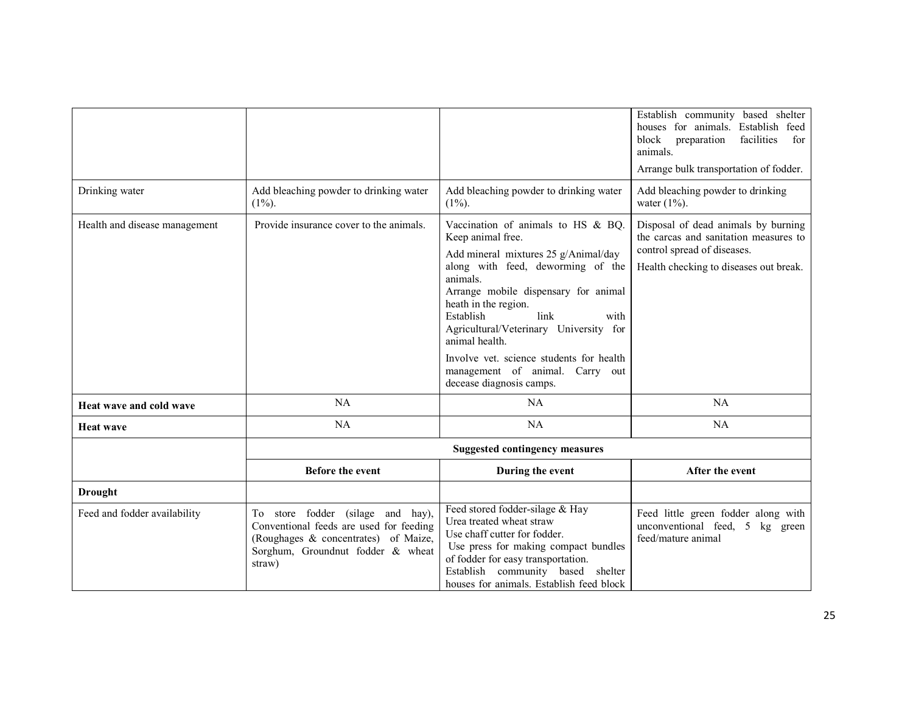|                               |                                                                                                                                                                     |                                                                                                                                                                                                                                                                                                                                                                                                                      | Establish community based shelter<br>houses for animals. Establish feed<br>facilities<br>block<br>preparation<br>for<br>animals.<br>Arrange bulk transportation of fodder. |
|-------------------------------|---------------------------------------------------------------------------------------------------------------------------------------------------------------------|----------------------------------------------------------------------------------------------------------------------------------------------------------------------------------------------------------------------------------------------------------------------------------------------------------------------------------------------------------------------------------------------------------------------|----------------------------------------------------------------------------------------------------------------------------------------------------------------------------|
| Drinking water                | Add bleaching powder to drinking water<br>$(1\%)$ .                                                                                                                 | Add bleaching powder to drinking water<br>$(1\%)$ .                                                                                                                                                                                                                                                                                                                                                                  | Add bleaching powder to drinking<br>water $(1\%)$ .                                                                                                                        |
| Health and disease management | Provide insurance cover to the animals.                                                                                                                             | Vaccination of animals to HS & BQ.<br>Keep animal free.<br>Add mineral mixtures 25 g/Animal/day<br>along with feed, deworming of the<br>animals.<br>Arrange mobile dispensary for animal<br>heath in the region.<br>link<br>Establish<br>with<br>Agricultural/Veterinary University for<br>animal health.<br>Involve yet, science students for health<br>management of animal. Carry out<br>decease diagnosis camps. | Disposal of dead animals by burning<br>the carcas and sanitation measures to<br>control spread of diseases.<br>Health checking to diseases out break.                      |
| Heat wave and cold wave       | NA                                                                                                                                                                  | <b>NA</b>                                                                                                                                                                                                                                                                                                                                                                                                            | NA                                                                                                                                                                         |
| <b>Heat wave</b>              | NA                                                                                                                                                                  | NA                                                                                                                                                                                                                                                                                                                                                                                                                   | <b>NA</b>                                                                                                                                                                  |
|                               |                                                                                                                                                                     | <b>Suggested contingency measures</b>                                                                                                                                                                                                                                                                                                                                                                                |                                                                                                                                                                            |
|                               | <b>Before the event</b>                                                                                                                                             | During the event                                                                                                                                                                                                                                                                                                                                                                                                     | After the event                                                                                                                                                            |
| <b>Drought</b>                |                                                                                                                                                                     |                                                                                                                                                                                                                                                                                                                                                                                                                      |                                                                                                                                                                            |
| Feed and fodder availability  | To store fodder (silage and hay),<br>Conventional feeds are used for feeding<br>(Roughages & concentrates) of Maize,<br>Sorghum, Groundnut fodder & wheat<br>straw) | Feed stored fodder-silage & Hay<br>Urea treated wheat straw<br>Use chaff cutter for fodder.<br>Use press for making compact bundles<br>of fodder for easy transportation.<br>Establish community based shelter<br>houses for animals. Establish feed block                                                                                                                                                           | Feed little green fodder along with<br>unconventional feed, 5 kg green<br>feed/mature animal                                                                               |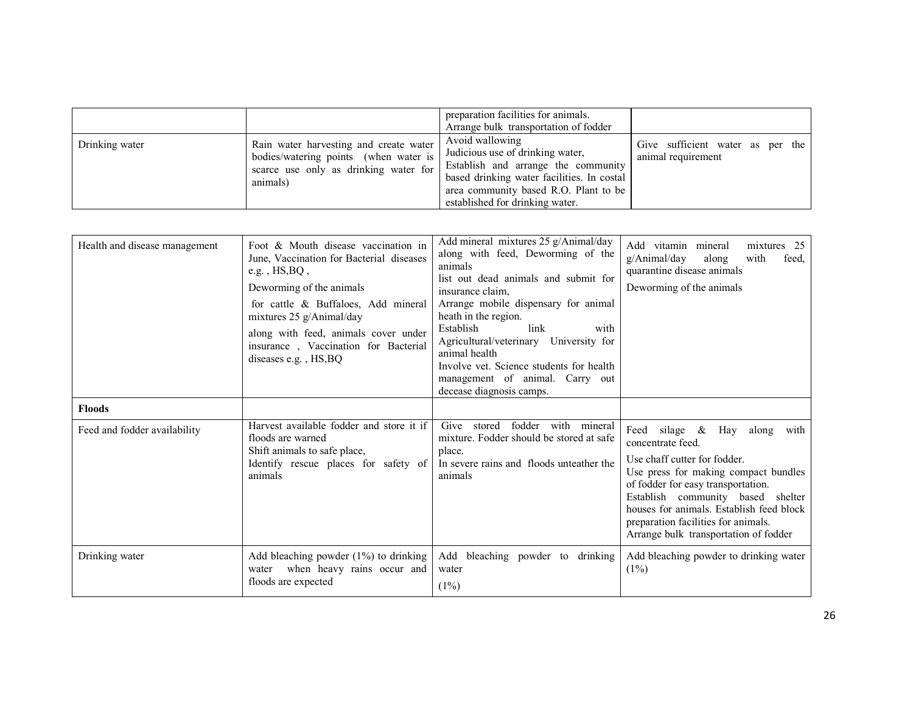| Drinking water | Rain water harvesting and create water<br>bodies/watering points (when water is<br>scarce use only as drinking water for<br>animals) | preparation facilities for animals.<br>Arrange bulk transportation of fodder<br>Avoid wallowing<br>Judicious use of drinking water,<br>Establish and arrange the community<br>based drinking water facilities. In costal<br>area community based R.O. Plant to be<br>established for drinking water. | Give sufficient water as per the<br>animal requirement |
|----------------|--------------------------------------------------------------------------------------------------------------------------------------|------------------------------------------------------------------------------------------------------------------------------------------------------------------------------------------------------------------------------------------------------------------------------------------------------|--------------------------------------------------------|
|----------------|--------------------------------------------------------------------------------------------------------------------------------------|------------------------------------------------------------------------------------------------------------------------------------------------------------------------------------------------------------------------------------------------------------------------------------------------------|--------------------------------------------------------|

| Health and disease management | Foot & Mouth disease vaccination in<br>June, Vaccination for Bacterial diseases<br>e.g., $HS, BO$ ,<br>Deworming of the animals<br>for cattle & Buffaloes, Add mineral<br>mixtures $25$ g/Animal/day<br>along with feed, animals cover under<br>insurance, Vaccination for Bacterial<br>diseases e.g., HS, BQ | Add mineral mixtures 25 g/Animal/day<br>along with feed, Deworming of the<br>animals<br>list out dead animals and submit for<br>insurance claim.<br>Arrange mobile dispensary for animal<br>heath in the region.<br>Establish<br>link<br>with<br>Agricultural/veterinary University for<br>animal health<br>Involve yet. Science students for health<br>management of animal. Carry out<br>decease diagnosis camps. | Add vitamin mineral<br>mixtures 25<br>$g/A$ nimal/day<br>with<br>along<br>feed.<br>quarantine disease animals<br>Deworming of the animals                                                                                                                                                                                           |
|-------------------------------|---------------------------------------------------------------------------------------------------------------------------------------------------------------------------------------------------------------------------------------------------------------------------------------------------------------|---------------------------------------------------------------------------------------------------------------------------------------------------------------------------------------------------------------------------------------------------------------------------------------------------------------------------------------------------------------------------------------------------------------------|-------------------------------------------------------------------------------------------------------------------------------------------------------------------------------------------------------------------------------------------------------------------------------------------------------------------------------------|
| <b>Floods</b>                 |                                                                                                                                                                                                                                                                                                               |                                                                                                                                                                                                                                                                                                                                                                                                                     |                                                                                                                                                                                                                                                                                                                                     |
| Feed and fodder availability  | Harvest available fodder and store it if<br>floods are warned<br>Shift animals to safe place,<br>Identify rescue places for safety of<br>animals                                                                                                                                                              | stored<br>fodder<br>with<br>Give<br>mineral<br>mixture. Fodder should be stored at safe<br>place.<br>In severe rains and floods unteather the<br>animals                                                                                                                                                                                                                                                            | Feed silage $\&$ Hay along with<br>concentrate feed.<br>Use chaff cutter for fodder.<br>Use press for making compact bundles<br>of fodder for easy transportation.<br>Establish community based shelter<br>houses for animals. Establish feed block<br>preparation facilities for animals.<br>Arrange bulk transportation of fodder |
| Drinking water                | Add bleaching powder $(1%)$ to drinking<br>water when heavy rains occur and<br>floods are expected                                                                                                                                                                                                            | Add bleaching powder to drinking<br>water<br>(1%)                                                                                                                                                                                                                                                                                                                                                                   | Add bleaching powder to drinking water<br>$(1\%)$                                                                                                                                                                                                                                                                                   |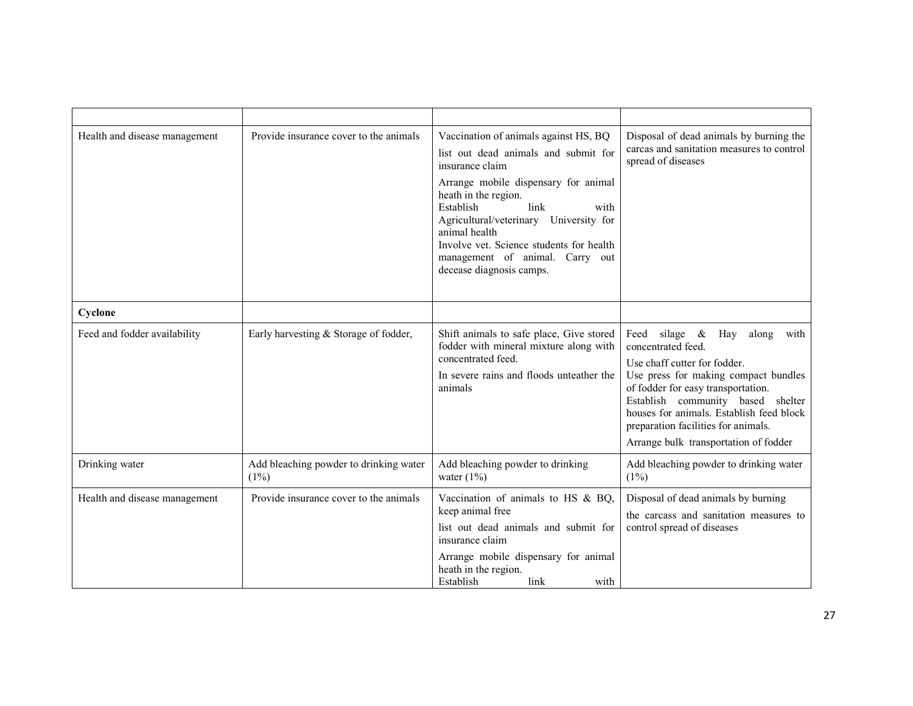| Health and disease management | Provide insurance cover to the animals            | Vaccination of animals against HS, BQ<br>list out dead animals and submit for<br>insurance claim<br>Arrange mobile dispensary for animal<br>heath in the region.<br>link<br>Establish<br>with<br>Agricultural/veterinary University for<br>animal health<br>Involve vet. Science students for health<br>management of animal. Carry out<br>decease diagnosis camps. | Disposal of dead animals by burning the<br>carcas and sanitation measures to control<br>spread of diseases                                                                                                                                                                                                                        |
|-------------------------------|---------------------------------------------------|---------------------------------------------------------------------------------------------------------------------------------------------------------------------------------------------------------------------------------------------------------------------------------------------------------------------------------------------------------------------|-----------------------------------------------------------------------------------------------------------------------------------------------------------------------------------------------------------------------------------------------------------------------------------------------------------------------------------|
| Cyclone                       |                                                   |                                                                                                                                                                                                                                                                                                                                                                     |                                                                                                                                                                                                                                                                                                                                   |
| Feed and fodder availability  | Early harvesting & Storage of fodder,             | Shift animals to safe place, Give stored<br>fodder with mineral mixture along with<br>concentrated feed.<br>In severe rains and floods unteather the<br>animals                                                                                                                                                                                                     | Feed silage & Hay along with<br>concentrated feed.<br>Use chaff cutter for fodder.<br>Use press for making compact bundles<br>of fodder for easy transportation.<br>Establish community based shelter<br>houses for animals. Establish feed block<br>preparation facilities for animals.<br>Arrange bulk transportation of fodder |
| Drinking water                | Add bleaching powder to drinking water<br>$(1\%)$ | Add bleaching powder to drinking<br>water $(1\%)$                                                                                                                                                                                                                                                                                                                   | Add bleaching powder to drinking water<br>(1%)                                                                                                                                                                                                                                                                                    |
| Health and disease management | Provide insurance cover to the animals            | Vaccination of animals to HS $\&$ BQ,<br>keep animal free<br>list out dead animals and submit for<br>insurance claim<br>Arrange mobile dispensary for animal<br>heath in the region.<br>Establish<br>link<br>with                                                                                                                                                   | Disposal of dead animals by burning<br>the carcass and sanitation measures to<br>control spread of diseases                                                                                                                                                                                                                       |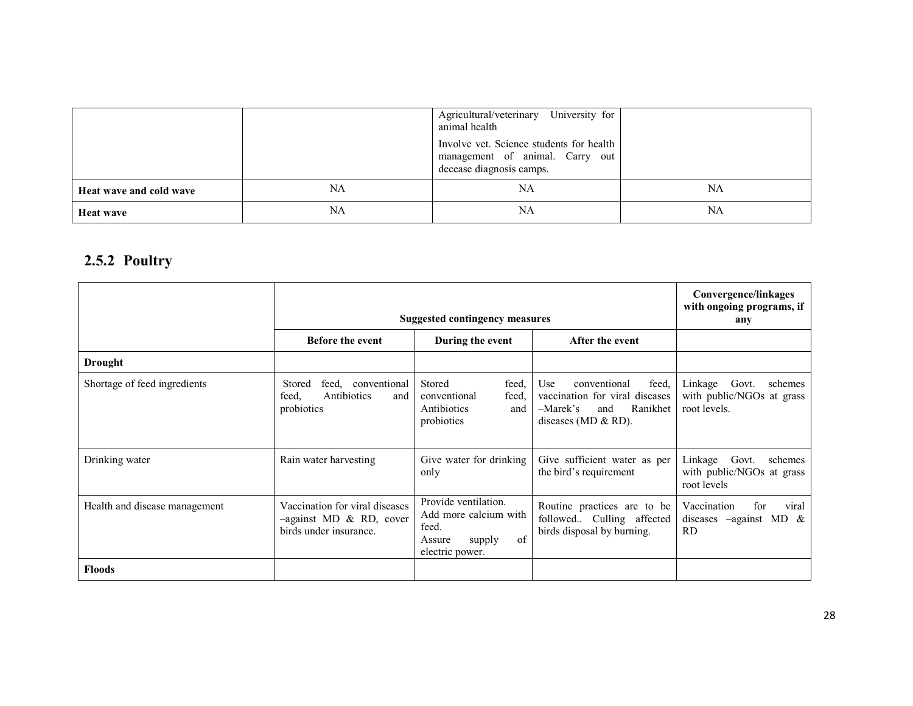|                         |    | Agricultural/veterinary University for<br>animal health                                                 |    |
|-------------------------|----|---------------------------------------------------------------------------------------------------------|----|
|                         |    | Involve vet. Science students for health<br>management of animal. Carry out<br>decease diagnosis camps. |    |
| Heat wave and cold wave | NA | NA                                                                                                      | NA |
| <b>Heat wave</b>        | NA | NA                                                                                                      | NA |

# 2.5.2 Poultry

|                               |                                                                                        | <b>Suggested contingency measures</b>                                                               |                                                                                                                                   | Convergence/linkages<br>with ongoing programs, if<br>any                    |
|-------------------------------|----------------------------------------------------------------------------------------|-----------------------------------------------------------------------------------------------------|-----------------------------------------------------------------------------------------------------------------------------------|-----------------------------------------------------------------------------|
|                               | <b>Before the event</b>                                                                | During the event                                                                                    | After the event                                                                                                                   |                                                                             |
| <b>Drought</b>                |                                                                                        |                                                                                                     |                                                                                                                                   |                                                                             |
| Shortage of feed ingredients  | feed.<br>Stored<br>conventional<br>Antibiotics<br>feed.<br>and<br>probiotics           | Stored<br>feed.<br>conventional<br>feed,<br>Antibiotics<br>and<br>probiotics                        | <b>Use</b><br>feed.<br>conventional<br>vaccination for viral diseases<br>$-Marek's$<br>Ranikhet<br>and<br>diseases ( $MD & RD$ ). | Linkage<br>Govt.<br>schemes<br>with public/NGOs at grass<br>root levels.    |
| Drinking water                | Rain water harvesting                                                                  | Give water for drinking<br>only                                                                     | Give sufficient water as per<br>the bird's requirement                                                                            | Linkage<br>Govt.<br>schemes<br>with public/NGOs at grass<br>root levels     |
| Health and disease management | Vaccination for viral diseases<br>$-$ against MD & RD, cover<br>birds under insurance. | Provide ventilation.<br>Add more calcium with<br>feed.<br>of<br>Assure<br>supply<br>electric power. | Routine practices are to be<br>followed Culling affected<br>birds disposal by burning.                                            | Vaccination<br>viral<br>for<br>diseases $-\alpha$ against MD &<br><b>RD</b> |
| <b>Floods</b>                 |                                                                                        |                                                                                                     |                                                                                                                                   |                                                                             |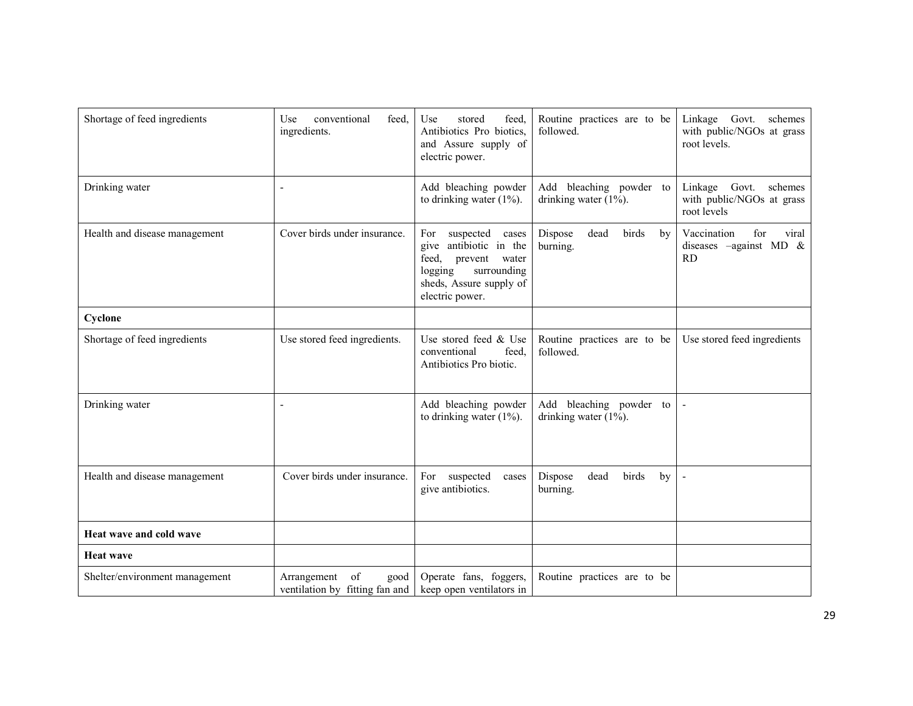| Shortage of feed ingredients   | U <sub>se</sub><br>conventional<br>feed.<br>ingredients.    | feed.<br>Use<br>stored<br>Antibiotics Pro biotics,<br>and Assure supply of<br>electric power.                                                            | Routine practices are to be<br>followed.            | Linkage Govt.<br>schemes<br>with public/NGOs at grass<br>root levels.   |
|--------------------------------|-------------------------------------------------------------|----------------------------------------------------------------------------------------------------------------------------------------------------------|-----------------------------------------------------|-------------------------------------------------------------------------|
| Drinking water                 | $\blacksquare$                                              | Add bleaching powder<br>to drinking water $(1\%)$ .                                                                                                      | Add bleaching powder to<br>drinking water $(1\%)$ . | Linkage<br>Govt.<br>schemes<br>with public/NGOs at grass<br>root levels |
| Health and disease management  | Cover birds under insurance.                                | For<br>suspected<br>cases<br>give antibiotic in the<br>feed,<br>prevent<br>water<br>logging<br>surrounding<br>sheds, Assure supply of<br>electric power. | Dispose<br>dead<br>birds<br>by<br>burning.          | Vaccination<br>for<br>viral<br>diseases $-\alpha$ gainst MD &<br>RD     |
| Cyclone                        |                                                             |                                                                                                                                                          |                                                     |                                                                         |
| Shortage of feed ingredients   | Use stored feed ingredients.                                | Use stored feed & Use<br>feed.<br>conventional<br>Antibiotics Pro biotic.                                                                                | Routine practices are to be<br>followed.            | Use stored feed ingredients                                             |
| Drinking water                 | $\overline{\phantom{a}}$                                    | Add bleaching powder<br>to drinking water $(1\%)$ .                                                                                                      | Add bleaching powder to<br>drinking water $(1\%)$ . |                                                                         |
| Health and disease management  | Cover birds under insurance.                                | For<br>suspected<br>cases<br>give antibiotics.                                                                                                           | Dispose<br>dead<br>birds<br>by<br>burning.          | $\overline{\phantom{a}}$                                                |
| Heat wave and cold wave        |                                                             |                                                                                                                                                          |                                                     |                                                                         |
| <b>Heat wave</b>               |                                                             |                                                                                                                                                          |                                                     |                                                                         |
| Shelter/environment management | of<br>Arrangement<br>good<br>ventilation by fitting fan and | Operate fans, foggers,<br>keep open ventilators in                                                                                                       | Routine practices are to be                         |                                                                         |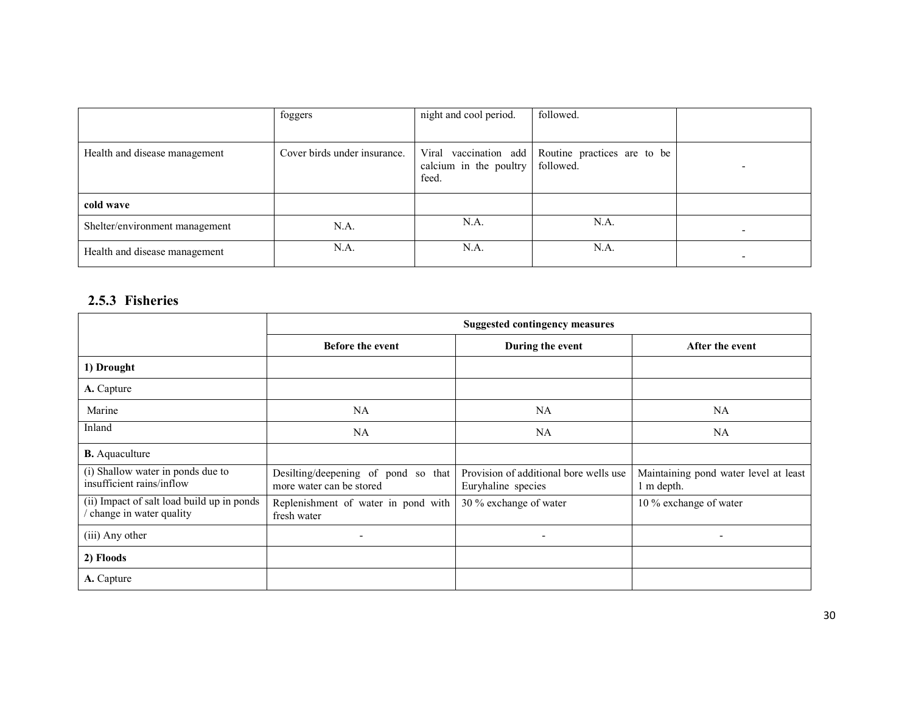|                                | foggers                      | night and cool period.          | followed.                                                      |   |
|--------------------------------|------------------------------|---------------------------------|----------------------------------------------------------------|---|
| Health and disease management  | Cover birds under insurance. | calcium in the poultry<br>feed. | Viral vaccination add Routine practices are to be<br>followed. |   |
| cold wave                      |                              |                                 |                                                                |   |
| Shelter/environment management | N.A.                         | N.A.                            | N.A.                                                           |   |
| Health and disease management  | N.A.                         | N.A.                            | N.A.                                                           | - |

### 2.5.3 Fisheries

|                                                                       |                                                                 | <b>Suggested contingency measures</b>                        |                                                     |
|-----------------------------------------------------------------------|-----------------------------------------------------------------|--------------------------------------------------------------|-----------------------------------------------------|
|                                                                       | <b>Before the event</b>                                         | During the event                                             | After the event                                     |
| 1) Drought                                                            |                                                                 |                                                              |                                                     |
| A. Capture                                                            |                                                                 |                                                              |                                                     |
| Marine                                                                | <b>NA</b>                                                       | NA                                                           | <b>NA</b>                                           |
| Inland                                                                | NA.                                                             | <b>NA</b>                                                    | <b>NA</b>                                           |
| <b>B.</b> Aquaculture                                                 |                                                                 |                                                              |                                                     |
| (i) Shallow water in ponds due to<br>insufficient rains/inflow        | Desilting/deepening of pond so that<br>more water can be stored | Provision of additional bore wells use<br>Euryhaline species | Maintaining pond water level at least<br>1 m depth. |
| (ii) Impact of salt load build up in ponds<br>change in water quality | Replenishment of water in pond with<br>fresh water              | 30 % exchange of water                                       | 10 % exchange of water                              |
| (iii) Any other                                                       | $\overline{\phantom{a}}$                                        | $\overline{\phantom{a}}$                                     | $\overline{\phantom{a}}$                            |
| 2) Floods                                                             |                                                                 |                                                              |                                                     |
| A. Capture                                                            |                                                                 |                                                              |                                                     |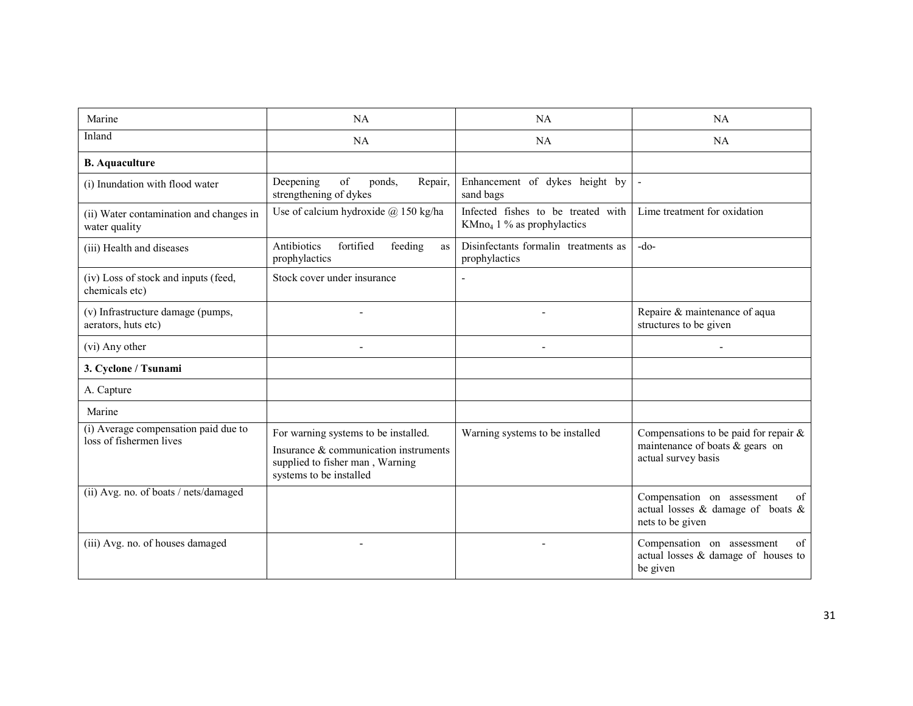| Marine                                                          | <b>NA</b>                                                                                                                                   | <b>NA</b>                                                                    | NA                                                                                                   |
|-----------------------------------------------------------------|---------------------------------------------------------------------------------------------------------------------------------------------|------------------------------------------------------------------------------|------------------------------------------------------------------------------------------------------|
| Inland                                                          | <b>NA</b>                                                                                                                                   | <b>NA</b>                                                                    | NA.                                                                                                  |
| <b>B.</b> Aquaculture                                           |                                                                                                                                             |                                                                              |                                                                                                      |
| (i) Inundation with flood water                                 | of<br>Deepening<br>ponds,<br>Repair,<br>strengthening of dykes                                                                              | Enhancement of dykes height by<br>sand bags                                  | $\blacksquare$                                                                                       |
| (ii) Water contamination and changes in<br>water quality        | Use of calcium hydroxide $\omega$ 150 kg/ha                                                                                                 | Infected fishes to be treated with<br>KMno <sub>4</sub> 1 % as prophylactics | Lime treatment for oxidation                                                                         |
| (iii) Health and diseases                                       | Antibiotics<br>fortified<br>feeding<br><b>as</b><br>prophylactics                                                                           | Disinfectants formalin treatments as<br>prophylactics                        | $-do-$                                                                                               |
| (iv) Loss of stock and inputs (feed,<br>chemicals etc)          | Stock cover under insurance                                                                                                                 |                                                                              |                                                                                                      |
| (v) Infrastructure damage (pumps,<br>aerators, huts etc)        |                                                                                                                                             |                                                                              | Repaire & maintenance of aqua<br>structures to be given                                              |
| (vi) Any other                                                  |                                                                                                                                             |                                                                              |                                                                                                      |
| 3. Cyclone / Tsunami                                            |                                                                                                                                             |                                                                              |                                                                                                      |
| A. Capture                                                      |                                                                                                                                             |                                                                              |                                                                                                      |
| Marine                                                          |                                                                                                                                             |                                                                              |                                                                                                      |
| (i) Average compensation paid due to<br>loss of fishermen lives | For warning systems to be installed.<br>Insurance & communication instruments<br>supplied to fisher man, Warning<br>systems to be installed | Warning systems to be installed                                              | Compensations to be paid for repair $\&$<br>maintenance of boats $&$ gears on<br>actual survey basis |
| (ii) Avg. no. of boats / nets/damaged                           |                                                                                                                                             |                                                                              | Compensation on assessment<br>of<br>actual losses $\&$ damage of boats $\&$<br>nets to be given      |
| (iii) Avg. no. of houses damaged                                |                                                                                                                                             |                                                                              | Compensation on assessment<br>of<br>actual losses & damage of houses to<br>be given                  |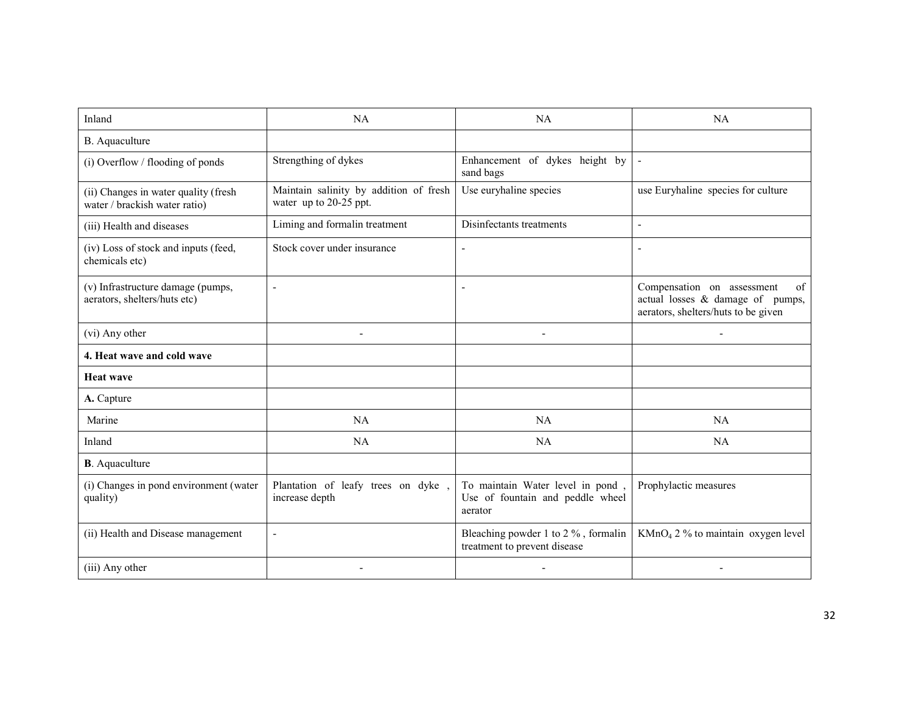| Inland                                                                | <b>NA</b>                                                        | <b>NA</b>                                                                       | <b>NA</b>                                                                                                   |
|-----------------------------------------------------------------------|------------------------------------------------------------------|---------------------------------------------------------------------------------|-------------------------------------------------------------------------------------------------------------|
| B. Aquaculture                                                        |                                                                  |                                                                                 |                                                                                                             |
| (i) Overflow / flooding of ponds                                      | Strengthing of dykes                                             | Enhancement of dykes height by<br>sand bags                                     | $\blacksquare$                                                                                              |
| (ii) Changes in water quality (fresh<br>water / brackish water ratio) | Maintain salinity by addition of fresh<br>water up to 20-25 ppt. | Use euryhaline species                                                          | use Euryhaline species for culture                                                                          |
| (iii) Health and diseases                                             | Liming and formalin treatment                                    | Disinfectants treatments                                                        | L,                                                                                                          |
| (iv) Loss of stock and inputs (feed,<br>chemicals etc)                | Stock cover under insurance                                      | $\blacksquare$                                                                  | $\qquad \qquad \blacksquare$                                                                                |
| (v) Infrastructure damage (pumps,<br>aerators, shelters/huts etc)     | $\overline{\phantom{a}}$                                         |                                                                                 | Compensation on assessment<br>of<br>actual losses & damage of pumps,<br>aerators, shelters/huts to be given |
| (vi) Any other                                                        | $\overline{\phantom{a}}$                                         | $\overline{\phantom{a}}$                                                        |                                                                                                             |
| 4. Heat wave and cold wave                                            |                                                                  |                                                                                 |                                                                                                             |
| <b>Heat wave</b>                                                      |                                                                  |                                                                                 |                                                                                                             |
| A. Capture                                                            |                                                                  |                                                                                 |                                                                                                             |
| Marine                                                                | NA                                                               | <b>NA</b>                                                                       | NA                                                                                                          |
| Inland                                                                | NA                                                               | NA                                                                              | <b>NA</b>                                                                                                   |
| <b>B</b> . Aquaculture                                                |                                                                  |                                                                                 |                                                                                                             |
| (i) Changes in pond environment (water<br>quality)                    | Plantation of leafy trees on dyke,<br>increase depth             | To maintain Water level in pond,<br>Use of fountain and peddle wheel<br>aerator | Prophylactic measures                                                                                       |
| (ii) Health and Disease management                                    | $\blacksquare$                                                   | Bleaching powder 1 to 2 %, formalin<br>treatment to prevent disease             | $KMnO4 2 %$ to maintain oxygen level                                                                        |
| (iii) Any other                                                       |                                                                  |                                                                                 |                                                                                                             |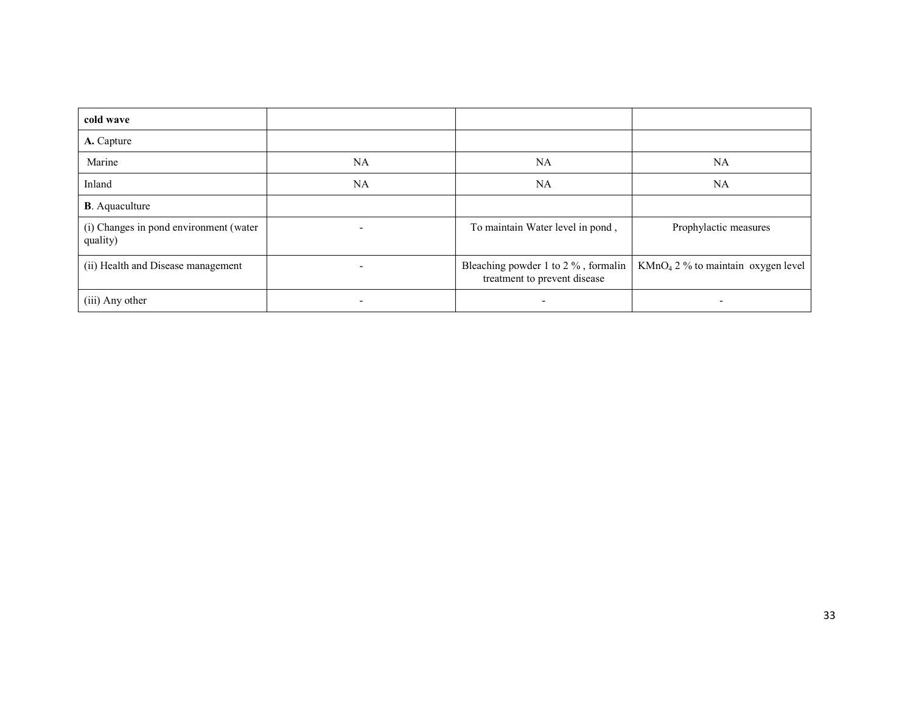| cold wave                                          |    |                                                                     |                                      |
|----------------------------------------------------|----|---------------------------------------------------------------------|--------------------------------------|
| A. Capture                                         |    |                                                                     |                                      |
| Marine                                             | NA | <b>NA</b>                                                           | <b>NA</b>                            |
| Inland                                             | NA | <b>NA</b>                                                           | <b>NA</b>                            |
| <b>B</b> . Aquaculture                             |    |                                                                     |                                      |
| (i) Changes in pond environment (water<br>quality) |    | To maintain Water level in pond,                                    | Prophylactic measures                |
| (ii) Health and Disease management                 |    | Bleaching powder 1 to 2 %, formalin<br>treatment to prevent disease | $KMnO4 2 %$ to maintain oxygen level |
| (iii) Any other                                    |    |                                                                     |                                      |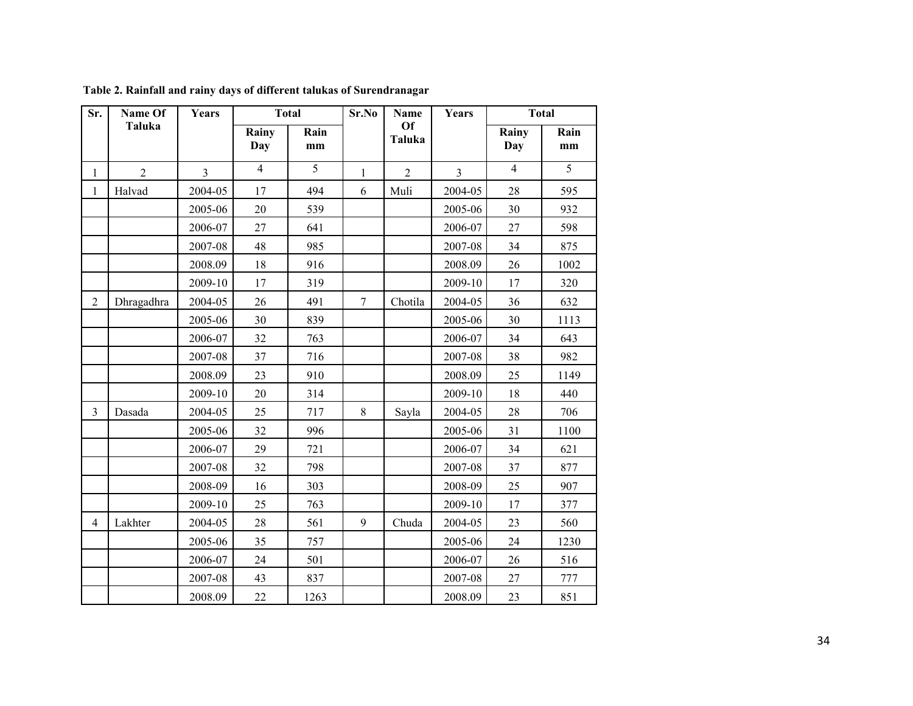| Sr.            | Name Of        | Years          |                | <b>Total</b> | Sr.No            | <b>Name</b>    | Years          |                | <b>Total</b> |  |
|----------------|----------------|----------------|----------------|--------------|------------------|----------------|----------------|----------------|--------------|--|
|                | <b>Taluka</b>  |                | Rainy<br>Day   | Rain<br>mm   |                  | Of<br>Taluka   |                | Rainy<br>Day   | Rain<br>mm   |  |
| $\mathbf{1}$   | $\overline{2}$ | $\overline{3}$ | $\overline{4}$ | 5            | $\mathbf{1}$     | $\overline{2}$ | $\overline{3}$ | $\overline{4}$ | 5            |  |
| $\mathbf{1}$   | Halvad         | 2004-05        | 17             | 494          | 6                | Muli           | 2004-05        | 28             | 595          |  |
|                |                | 2005-06        | 20             | 539          |                  |                | 2005-06        | 30             | 932          |  |
|                |                | 2006-07        | 27             | 641          |                  |                | 2006-07        | 27             | 598          |  |
|                |                | 2007-08        | 48             | 985          |                  |                | 2007-08        | 34             | 875          |  |
|                |                | 2008.09        | 18             | 916          |                  |                | 2008.09        | 26             | 1002         |  |
|                |                | 2009-10        | 17             | 319          |                  |                | 2009-10        | 17             | 320          |  |
| $\overline{2}$ | Dhragadhra     | 2004-05        | 26             | 491          | $\boldsymbol{7}$ | Chotila        | 2004-05        | 36             | 632          |  |
|                |                | 2005-06        | 30             | 839          |                  |                | 2005-06        | 30             | 1113         |  |
|                |                | 2006-07        | 32             | 763          |                  |                | 2006-07        | 34             | 643          |  |
|                |                | 2007-08        | 37             | 716          |                  |                | 2007-08        | 38             | 982          |  |
|                |                | 2008.09        | 23             | 910          |                  |                | 2008.09        | 25             | 1149         |  |
|                |                | 2009-10        | 20             | 314          |                  |                | 2009-10        | 18             | 440          |  |
| $\overline{3}$ | Dasada         | 2004-05        | 25             | 717          | 8                | Sayla          | 2004-05        | 28             | 706          |  |
|                |                | 2005-06        | 32             | 996          |                  |                | 2005-06        | 31             | 1100         |  |
|                |                | 2006-07        | 29             | 721          |                  |                | 2006-07        | 34             | 621          |  |
|                |                | 2007-08        | 32             | 798          |                  |                | 2007-08        | 37             | 877          |  |
|                |                | 2008-09        | 16             | 303          |                  |                | 2008-09        | 25             | 907          |  |
|                |                | 2009-10        | 25             | 763          |                  |                | 2009-10        | 17             | 377          |  |
| $\overline{4}$ | Lakhter        | 2004-05        | 28             | 561          | 9                | Chuda          | 2004-05        | 23             | 560          |  |
|                |                | 2005-06        | 35             | 757          |                  |                | 2005-06        | 24             | 1230         |  |
|                |                | 2006-07        | 24             | 501          |                  |                | 2006-07        | 26             | 516          |  |
|                |                | 2007-08        | 43             | 837          |                  |                | 2007-08        | 27             | 777          |  |
|                |                | 2008.09        | 22             | 1263         |                  |                | 2008.09        | 23             | 851          |  |

Table 2. Rainfall and rainy days of different talukas of Surendranagar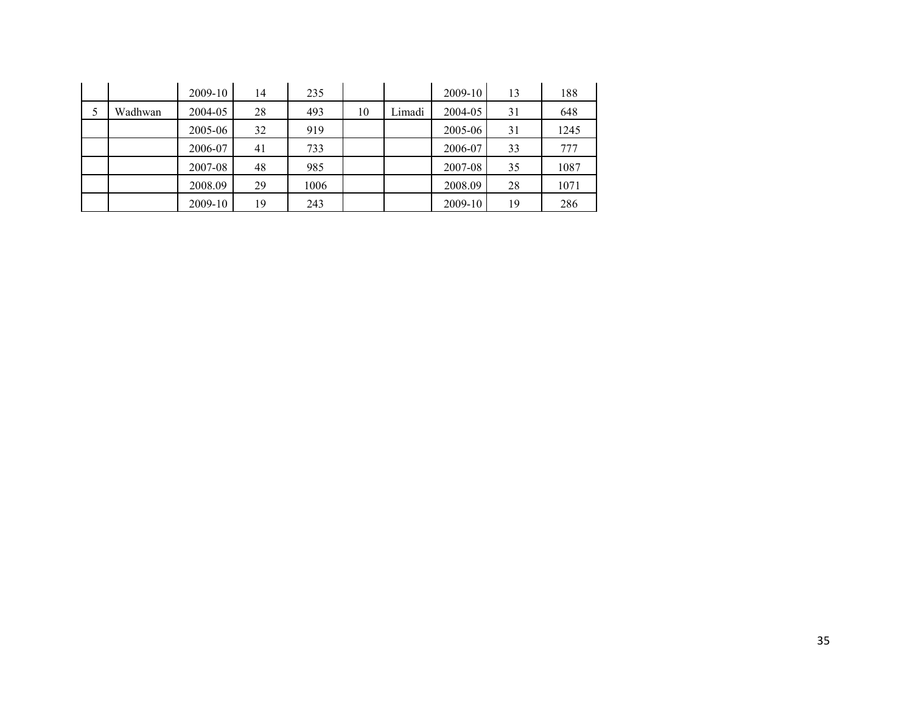|         | 2009-10 | 14 | 235  |    |        | $2009 - 10$ | 13 | 188  |
|---------|---------|----|------|----|--------|-------------|----|------|
| Wadhwan | 2004-05 | 28 | 493  | 10 | Limadi | 2004-05     | 31 | 648  |
|         | 2005-06 | 32 | 919  |    |        | 2005-06     | 31 | 1245 |
|         | 2006-07 | 41 | 733  |    |        | 2006-07     | 33 | 777  |
|         | 2007-08 | 48 | 985  |    |        | 2007-08     | 35 | 1087 |
|         | 2008.09 | 29 | 1006 |    |        | 2008.09     | 28 | 1071 |
|         | 2009-10 | 19 | 243  |    |        | 2009-10     | 19 | 286  |